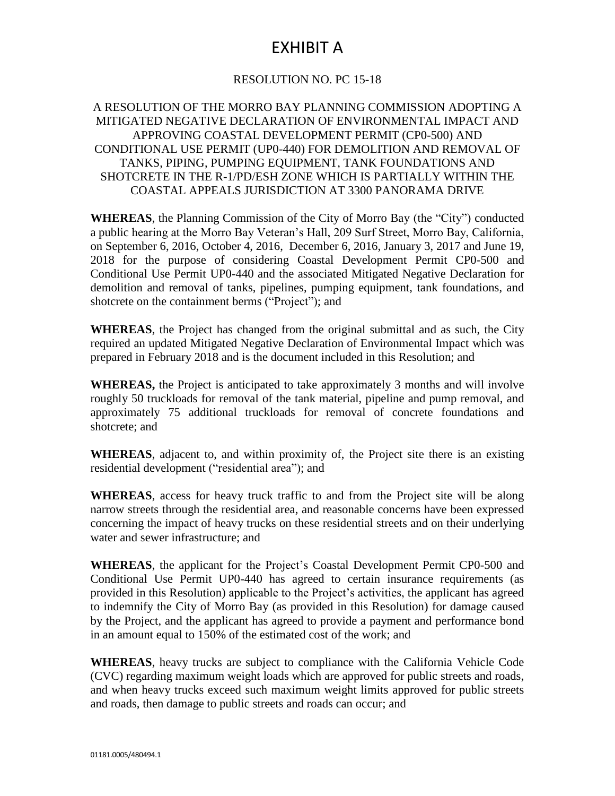# EXHIBIT A

### RESOLUTION NO. PC 15-18

#### A RESOLUTION OF THE MORRO BAY PLANNING COMMISSION ADOPTING A MITIGATED NEGATIVE DECLARATION OF ENVIRONMENTAL IMPACT AND APPROVING COASTAL DEVELOPMENT PERMIT (CP0-500) AND CONDITIONAL USE PERMIT (UP0-440) FOR DEMOLITION AND REMOVAL OF TANKS, PIPING, PUMPING EQUIPMENT, TANK FOUNDATIONS AND SHOTCRETE IN THE R-1/PD/ESH ZONE WHICH IS PARTIALLY WITHIN THE COASTAL APPEALS JURISDICTION AT 3300 PANORAMA DRIVE

**WHEREAS**, the Planning Commission of the City of Morro Bay (the "City") conducted a public hearing at the Morro Bay Veteran's Hall, 209 Surf Street, Morro Bay, California, on September 6, 2016, October 4, 2016, December 6, 2016, January 3, 2017 and June 19, 2018 for the purpose of considering Coastal Development Permit CP0-500 and Conditional Use Permit UP0-440 and the associated Mitigated Negative Declaration for demolition and removal of tanks, pipelines, pumping equipment, tank foundations, and shotcrete on the containment berms ("Project"); and

**WHEREAS**, the Project has changed from the original submittal and as such, the City required an updated Mitigated Negative Declaration of Environmental Impact which was prepared in February 2018 and is the document included in this Resolution; and

**WHEREAS,** the Project is anticipated to take approximately 3 months and will involve roughly 50 truckloads for removal of the tank material, pipeline and pump removal, and approximately 75 additional truckloads for removal of concrete foundations and shotcrete; and

**WHEREAS**, adjacent to, and within proximity of, the Project site there is an existing residential development ("residential area"); and

**WHEREAS**, access for heavy truck traffic to and from the Project site will be along narrow streets through the residential area, and reasonable concerns have been expressed concerning the impact of heavy trucks on these residential streets and on their underlying water and sewer infrastructure; and

**WHEREAS**, the applicant for the Project's Coastal Development Permit CP0-500 and Conditional Use Permit UP0-440 has agreed to certain insurance requirements (as provided in this Resolution) applicable to the Project's activities, the applicant has agreed to indemnify the City of Morro Bay (as provided in this Resolution) for damage caused by the Project, and the applicant has agreed to provide a payment and performance bond in an amount equal to 150% of the estimated cost of the work; and

**WHEREAS**, heavy trucks are subject to compliance with the California Vehicle Code (CVC) regarding maximum weight loads which are approved for public streets and roads, and when heavy trucks exceed such maximum weight limits approved for public streets and roads, then damage to public streets and roads can occur; and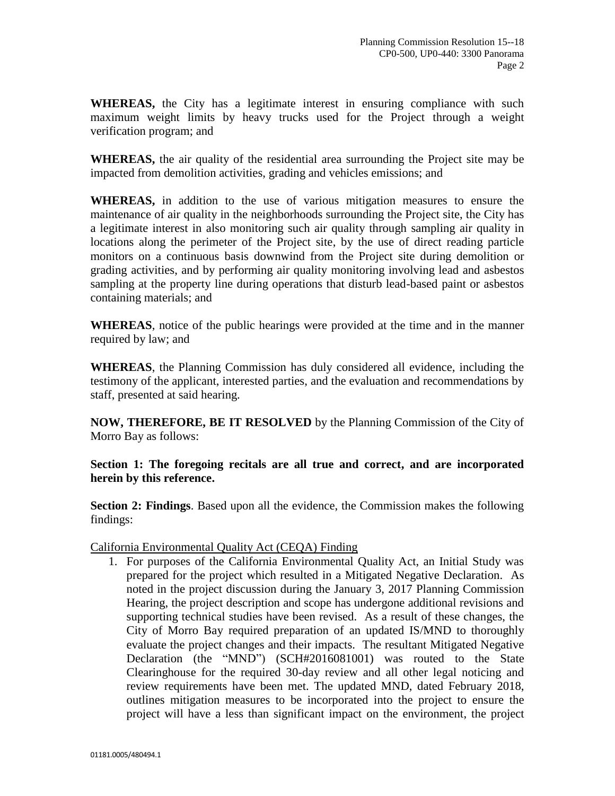**WHEREAS,** the City has a legitimate interest in ensuring compliance with such maximum weight limits by heavy trucks used for the Project through a weight verification program; and

**WHEREAS,** the air quality of the residential area surrounding the Project site may be impacted from demolition activities, grading and vehicles emissions; and

**WHEREAS,** in addition to the use of various mitigation measures to ensure the maintenance of air quality in the neighborhoods surrounding the Project site, the City has a legitimate interest in also monitoring such air quality through sampling air quality in locations along the perimeter of the Project site, by the use of direct reading particle monitors on a continuous basis downwind from the Project site during demolition or grading activities, and by performing air quality monitoring involving lead and asbestos sampling at the property line during operations that disturb lead-based paint or asbestos containing materials; and

**WHEREAS**, notice of the public hearings were provided at the time and in the manner required by law; and

**WHEREAS**, the Planning Commission has duly considered all evidence, including the testimony of the applicant, interested parties, and the evaluation and recommendations by staff, presented at said hearing.

**NOW, THEREFORE, BE IT RESOLVED** by the Planning Commission of the City of Morro Bay as follows:

**Section 1: The foregoing recitals are all true and correct, and are incorporated herein by this reference.**

**Section 2: Findings**. Based upon all the evidence, the Commission makes the following findings:

California Environmental Quality Act (CEQA) Finding

1. For purposes of the California Environmental Quality Act, an Initial Study was prepared for the project which resulted in a Mitigated Negative Declaration. As noted in the project discussion during the January 3, 2017 Planning Commission Hearing, the project description and scope has undergone additional revisions and supporting technical studies have been revised. As a result of these changes, the City of Morro Bay required preparation of an updated IS/MND to thoroughly evaluate the project changes and their impacts. The resultant Mitigated Negative Declaration (the "MND") (SCH#2016081001) was routed to the State Clearinghouse for the required 30-day review and all other legal noticing and review requirements have been met. The updated MND, dated February 2018, outlines mitigation measures to be incorporated into the project to ensure the project will have a less than significant impact on the environment, the project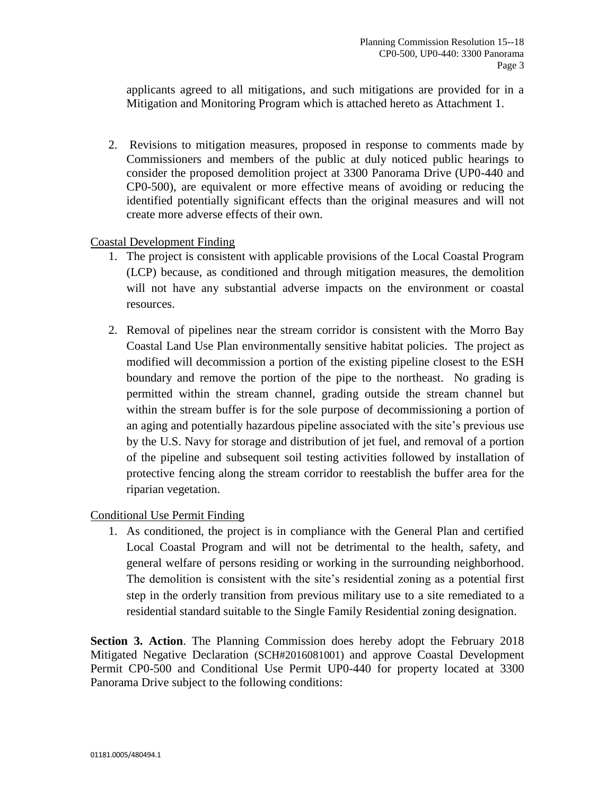applicants agreed to all mitigations, and such mitigations are provided for in a Mitigation and Monitoring Program which is attached hereto as Attachment 1.

2. Revisions to mitigation measures, proposed in response to comments made by Commissioners and members of the public at duly noticed public hearings to consider the proposed demolition project at 3300 Panorama Drive (UP0-440 and CP0-500), are equivalent or more effective means of avoiding or reducing the identified potentially significant effects than the original measures and will not create more adverse effects of their own.

#### Coastal Development Finding

- 1. The project is consistent with applicable provisions of the Local Coastal Program (LCP) because, as conditioned and through mitigation measures, the demolition will not have any substantial adverse impacts on the environment or coastal resources.
- 2. Removal of pipelines near the stream corridor is consistent with the Morro Bay Coastal Land Use Plan environmentally sensitive habitat policies. The project as modified will decommission a portion of the existing pipeline closest to the ESH boundary and remove the portion of the pipe to the northeast. No grading is permitted within the stream channel, grading outside the stream channel but within the stream buffer is for the sole purpose of decommissioning a portion of an aging and potentially hazardous pipeline associated with the site's previous use by the U.S. Navy for storage and distribution of jet fuel, and removal of a portion of the pipeline and subsequent soil testing activities followed by installation of protective fencing along the stream corridor to reestablish the buffer area for the riparian vegetation.

#### Conditional Use Permit Finding

1. As conditioned, the project is in compliance with the General Plan and certified Local Coastal Program and will not be detrimental to the health, safety, and general welfare of persons residing or working in the surrounding neighborhood. The demolition is consistent with the site's residential zoning as a potential first step in the orderly transition from previous military use to a site remediated to a residential standard suitable to the Single Family Residential zoning designation.

**Section 3. Action**. The Planning Commission does hereby adopt the February 2018 Mitigated Negative Declaration (SCH#2016081001) and approve Coastal Development Permit CP0-500 and Conditional Use Permit UP0-440 for property located at 3300 Panorama Drive subject to the following conditions: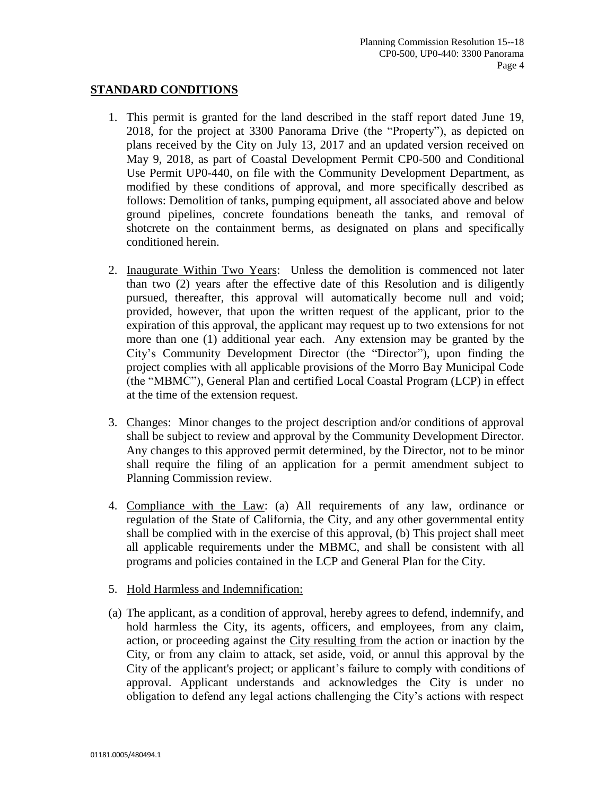### **STANDARD CONDITIONS**

- 1. This permit is granted for the land described in the staff report dated June 19, 2018, for the project at 3300 Panorama Drive (the "Property"), as depicted on plans received by the City on July 13, 2017 and an updated version received on May 9, 2018, as part of Coastal Development Permit CP0-500 and Conditional Use Permit UP0-440, on file with the Community Development Department, as modified by these conditions of approval, and more specifically described as follows: Demolition of tanks, pumping equipment, all associated above and below ground pipelines, concrete foundations beneath the tanks, and removal of shotcrete on the containment berms, as designated on plans and specifically conditioned herein.
- 2. Inaugurate Within Two Years: Unless the demolition is commenced not later than two (2) years after the effective date of this Resolution and is diligently pursued, thereafter, this approval will automatically become null and void; provided, however, that upon the written request of the applicant, prior to the expiration of this approval, the applicant may request up to two extensions for not more than one (1) additional year each. Any extension may be granted by the City's Community Development Director (the "Director"), upon finding the project complies with all applicable provisions of the Morro Bay Municipal Code (the "MBMC"), General Plan and certified Local Coastal Program (LCP) in effect at the time of the extension request.
- 3. Changes: Minor changes to the project description and/or conditions of approval shall be subject to review and approval by the Community Development Director. Any changes to this approved permit determined, by the Director, not to be minor shall require the filing of an application for a permit amendment subject to Planning Commission review.
- 4. Compliance with the Law: (a) All requirements of any law, ordinance or regulation of the State of California, the City, and any other governmental entity shall be complied with in the exercise of this approval, (b) This project shall meet all applicable requirements under the MBMC, and shall be consistent with all programs and policies contained in the LCP and General Plan for the City.
- 5. Hold Harmless and Indemnification:
- (a) The applicant, as a condition of approval, hereby agrees to defend, indemnify, and hold harmless the City, its agents, officers, and employees, from any claim, action, or proceeding against the City resulting from the action or inaction by the City, or from any claim to attack, set aside, void, or annul this approval by the City of the applicant's project; or applicant's failure to comply with conditions of approval. Applicant understands and acknowledges the City is under no obligation to defend any legal actions challenging the City's actions with respect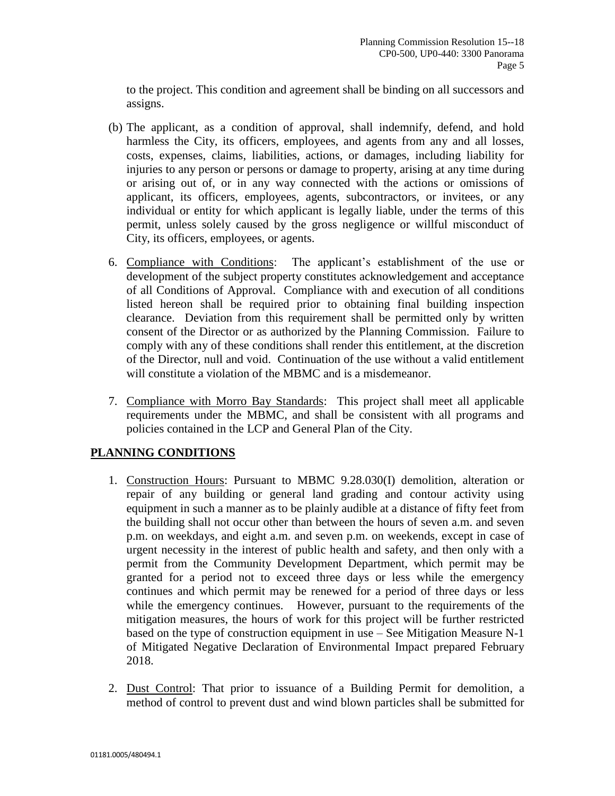to the project. This condition and agreement shall be binding on all successors and assigns.

- (b) The applicant, as a condition of approval, shall indemnify, defend, and hold harmless the City, its officers, employees, and agents from any and all losses, costs, expenses, claims, liabilities, actions, or damages, including liability for injuries to any person or persons or damage to property, arising at any time during or arising out of, or in any way connected with the actions or omissions of applicant, its officers, employees, agents, subcontractors, or invitees, or any individual or entity for which applicant is legally liable, under the terms of this permit, unless solely caused by the gross negligence or willful misconduct of City, its officers, employees, or agents.
- 6. Compliance with Conditions: The applicant's establishment of the use or development of the subject property constitutes acknowledgement and acceptance of all Conditions of Approval. Compliance with and execution of all conditions listed hereon shall be required prior to obtaining final building inspection clearance. Deviation from this requirement shall be permitted only by written consent of the Director or as authorized by the Planning Commission. Failure to comply with any of these conditions shall render this entitlement, at the discretion of the Director, null and void. Continuation of the use without a valid entitlement will constitute a violation of the MBMC and is a misdemeanor.
- 7. Compliance with Morro Bay Standards: This project shall meet all applicable requirements under the MBMC, and shall be consistent with all programs and policies contained in the LCP and General Plan of the City.

### **PLANNING CONDITIONS**

- 1. Construction Hours: Pursuant to MBMC 9.28.030(I) demolition, alteration or repair of any building or general land grading and contour activity using equipment in such a manner as to be plainly audible at a distance of fifty feet from the building shall not occur other than between the hours of seven a.m. and seven p.m. on weekdays, and eight a.m. and seven p.m. on weekends, except in case of urgent necessity in the interest of public health and safety, and then only with a permit from the Community Development Department, which permit may be granted for a period not to exceed three days or less while the emergency continues and which permit may be renewed for a period of three days or less while the emergency continues. However, pursuant to the requirements of the mitigation measures, the hours of work for this project will be further restricted based on the type of construction equipment in use – See Mitigation Measure N-1 of Mitigated Negative Declaration of Environmental Impact prepared February 2018.
- 2. Dust Control: That prior to issuance of a Building Permit for demolition, a method of control to prevent dust and wind blown particles shall be submitted for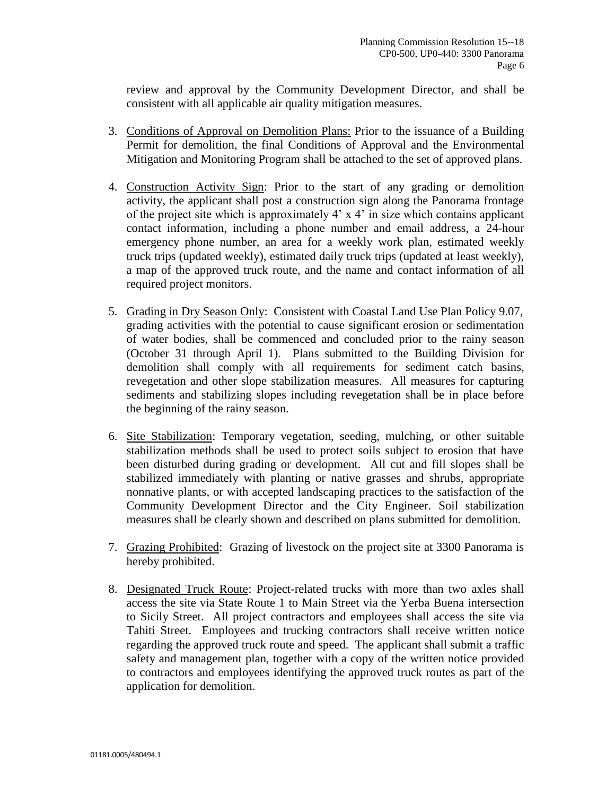review and approval by the Community Development Director, and shall be consistent with all applicable air quality mitigation measures.

- 3. Conditions of Approval on Demolition Plans: Prior to the issuance of a Building Permit for demolition, the final Conditions of Approval and the Environmental Mitigation and Monitoring Program shall be attached to the set of approved plans.
- 4. Construction Activity Sign: Prior to the start of any grading or demolition activity, the applicant shall post a construction sign along the Panorama frontage of the project site which is approximately 4' x 4' in size which contains applicant contact information, including a phone number and email address, a 24-hour emergency phone number, an area for a weekly work plan, estimated weekly truck trips (updated weekly), estimated daily truck trips (updated at least weekly), a map of the approved truck route, and the name and contact information of all required project monitors.
- 5. Grading in Dry Season Only: Consistent with Coastal Land Use Plan Policy 9.07, grading activities with the potential to cause significant erosion or sedimentation of water bodies, shall be commenced and concluded prior to the rainy season (October 31 through April 1). Plans submitted to the Building Division for demolition shall comply with all requirements for sediment catch basins, revegetation and other slope stabilization measures. All measures for capturing sediments and stabilizing slopes including revegetation shall be in place before the beginning of the rainy season.
- 6. Site Stabilization: Temporary vegetation, seeding, mulching, or other suitable stabilization methods shall be used to protect soils subject to erosion that have been disturbed during grading or development. All cut and fill slopes shall be stabilized immediately with planting or native grasses and shrubs, appropriate nonnative plants, or with accepted landscaping practices to the satisfaction of the Community Development Director and the City Engineer. Soil stabilization measures shall be clearly shown and described on plans submitted for demolition.
- 7. Grazing Prohibited: Grazing of livestock on the project site at 3300 Panorama is hereby prohibited.
- 8. Designated Truck Route: Project-related trucks with more than two axles shall access the site via State Route 1 to Main Street via the Yerba Buena intersection to Sicily Street. All project contractors and employees shall access the site via Tahiti Street. Employees and trucking contractors shall receive written notice regarding the approved truck route and speed. The applicant shall submit a traffic safety and management plan, together with a copy of the written notice provided to contractors and employees identifying the approved truck routes as part of the application for demolition.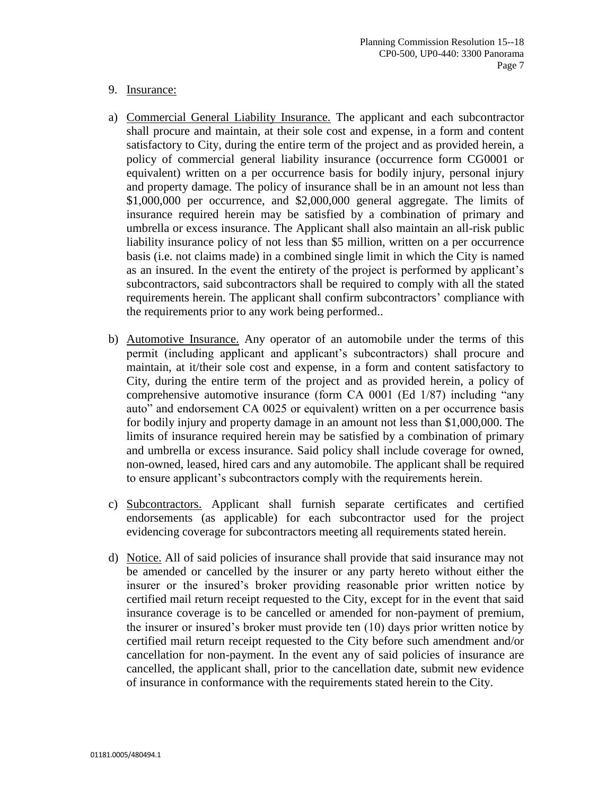#### 9. Insurance:

- a) Commercial General Liability Insurance. The applicant and each subcontractor shall procure and maintain, at their sole cost and expense, in a form and content satisfactory to City, during the entire term of the project and as provided herein, a policy of commercial general liability insurance (occurrence form CG0001 or equivalent) written on a per occurrence basis for bodily injury, personal injury and property damage. The policy of insurance shall be in an amount not less than \$1,000,000 per occurrence, and \$2,000,000 general aggregate. The limits of insurance required herein may be satisfied by a combination of primary and umbrella or excess insurance. The Applicant shall also maintain an all-risk public liability insurance policy of not less than \$5 million, written on a per occurrence basis (i.e. not claims made) in a combined single limit in which the City is named as an insured. In the event the entirety of the project is performed by applicant's subcontractors, said subcontractors shall be required to comply with all the stated requirements herein. The applicant shall confirm subcontractors' compliance with the requirements prior to any work being performed..
- b) Automotive Insurance. Any operator of an automobile under the terms of this permit (including applicant and applicant's subcontractors) shall procure and maintain, at it/their sole cost and expense, in a form and content satisfactory to City, during the entire term of the project and as provided herein, a policy of comprehensive automotive insurance (form CA 0001 (Ed 1/87) including "any auto" and endorsement CA 0025 or equivalent) written on a per occurrence basis for bodily injury and property damage in an amount not less than \$1,000,000. The limits of insurance required herein may be satisfied by a combination of primary and umbrella or excess insurance. Said policy shall include coverage for owned, non-owned, leased, hired cars and any automobile. The applicant shall be required to ensure applicant's subcontractors comply with the requirements herein.
- c) Subcontractors. Applicant shall furnish separate certificates and certified endorsements (as applicable) for each subcontractor used for the project evidencing coverage for subcontractors meeting all requirements stated herein.
- d) Notice. All of said policies of insurance shall provide that said insurance may not be amended or cancelled by the insurer or any party hereto without either the insurer or the insured's broker providing reasonable prior written notice by certified mail return receipt requested to the City, except for in the event that said insurance coverage is to be cancelled or amended for non-payment of premium, the insurer or insured's broker must provide ten (10) days prior written notice by certified mail return receipt requested to the City before such amendment and/or cancellation for non-payment. In the event any of said policies of insurance are cancelled, the applicant shall, prior to the cancellation date, submit new evidence of insurance in conformance with the requirements stated herein to the City.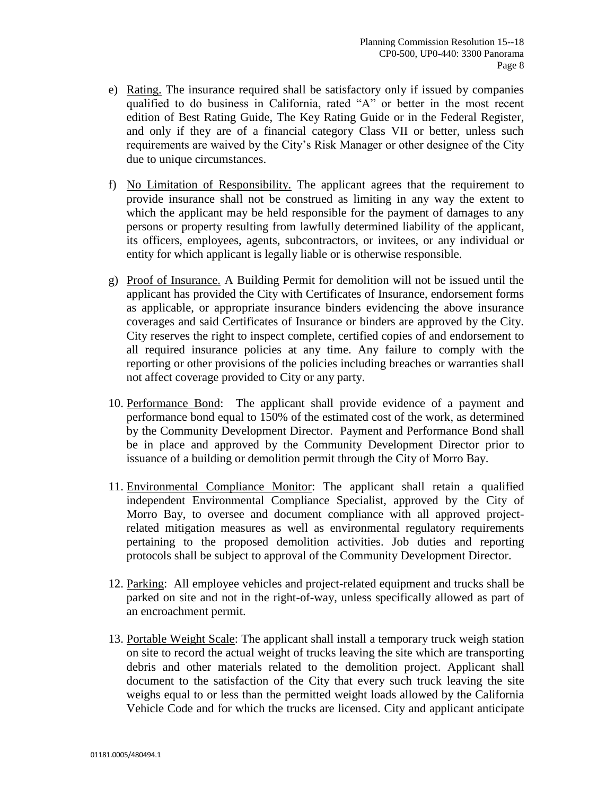- e) Rating. The insurance required shall be satisfactory only if issued by companies qualified to do business in California, rated "A" or better in the most recent edition of Best Rating Guide, The Key Rating Guide or in the Federal Register, and only if they are of a financial category Class VII or better, unless such requirements are waived by the City's Risk Manager or other designee of the City due to unique circumstances.
- f) No Limitation of Responsibility. The applicant agrees that the requirement to provide insurance shall not be construed as limiting in any way the extent to which the applicant may be held responsible for the payment of damages to any persons or property resulting from lawfully determined liability of the applicant, its officers, employees, agents, subcontractors, or invitees, or any individual or entity for which applicant is legally liable or is otherwise responsible.
- g) Proof of Insurance. A Building Permit for demolition will not be issued until the applicant has provided the City with Certificates of Insurance, endorsement forms as applicable, or appropriate insurance binders evidencing the above insurance coverages and said Certificates of Insurance or binders are approved by the City. City reserves the right to inspect complete, certified copies of and endorsement to all required insurance policies at any time. Any failure to comply with the reporting or other provisions of the policies including breaches or warranties shall not affect coverage provided to City or any party.
- 10. Performance Bond: The applicant shall provide evidence of a payment and performance bond equal to 150% of the estimated cost of the work, as determined by the Community Development Director. Payment and Performance Bond shall be in place and approved by the Community Development Director prior to issuance of a building or demolition permit through the City of Morro Bay.
- 11. Environmental Compliance Monitor: The applicant shall retain a qualified independent Environmental Compliance Specialist, approved by the City of Morro Bay, to oversee and document compliance with all approved projectrelated mitigation measures as well as environmental regulatory requirements pertaining to the proposed demolition activities. Job duties and reporting protocols shall be subject to approval of the Community Development Director.
- 12. Parking: All employee vehicles and project-related equipment and trucks shall be parked on site and not in the right-of-way, unless specifically allowed as part of an encroachment permit.
- 13. Portable Weight Scale: The applicant shall install a temporary truck weigh station on site to record the actual weight of trucks leaving the site which are transporting debris and other materials related to the demolition project. Applicant shall document to the satisfaction of the City that every such truck leaving the site weighs equal to or less than the permitted weight loads allowed by the California Vehicle Code and for which the trucks are licensed. City and applicant anticipate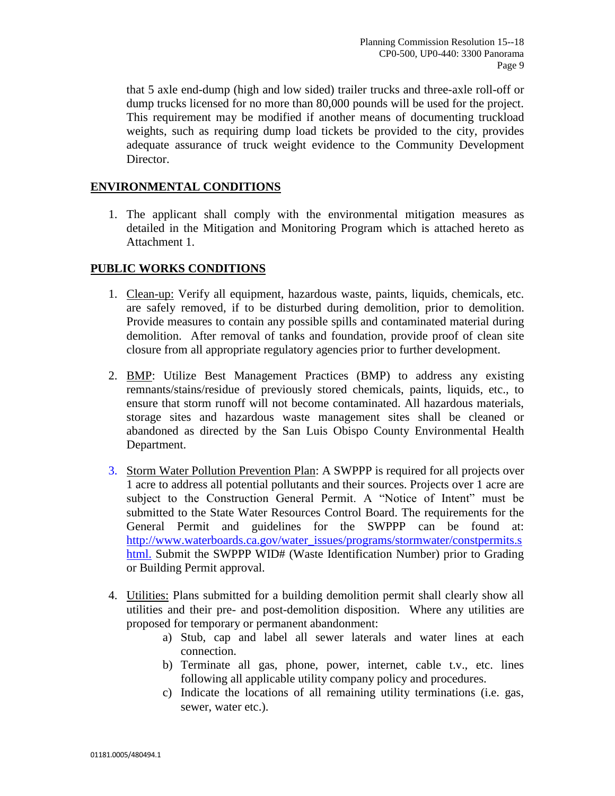that 5 axle end-dump (high and low sided) trailer trucks and three-axle roll-off or dump trucks licensed for no more than 80,000 pounds will be used for the project. This requirement may be modified if another means of documenting truckload weights, such as requiring dump load tickets be provided to the city, provides adequate assurance of truck weight evidence to the Community Development Director.

#### **ENVIRONMENTAL CONDITIONS**

1. The applicant shall comply with the environmental mitigation measures as detailed in the Mitigation and Monitoring Program which is attached hereto as Attachment 1.

#### **PUBLIC WORKS CONDITIONS**

- 1. Clean-up: Verify all equipment, hazardous waste, paints, liquids, chemicals, etc. are safely removed, if to be disturbed during demolition, prior to demolition. Provide measures to contain any possible spills and contaminated material during demolition. After removal of tanks and foundation, provide proof of clean site closure from all appropriate regulatory agencies prior to further development.
- 2. BMP: Utilize Best Management Practices (BMP) to address any existing remnants/stains/residue of previously stored chemicals, paints, liquids, etc., to ensure that storm runoff will not become contaminated. All hazardous materials, storage sites and hazardous waste management sites shall be cleaned or abandoned as directed by the San Luis Obispo County Environmental Health Department.
- 3. Storm Water Pollution Prevention Plan: A SWPPP is required for all projects over 1 acre to address all potential pollutants and their sources. Projects over 1 acre are subject to the Construction General Permit. A "Notice of Intent" must be submitted to the State Water Resources Control Board. The requirements for the General Permit and guidelines for the SWPPP can be found at: [http://www.waterboards.ca.gov/water\\_issues/programs/stormwater/constpermits.s](http://www.waterboards.ca.gov/water_issues/programs/stormwater/constpermits.shtml) [html.](http://www.waterboards.ca.gov/water_issues/programs/stormwater/constpermits.shtml) Submit the SWPPP WID# (Waste Identification Number) prior to Grading or Building Permit approval.
- 4. Utilities: Plans submitted for a building demolition permit shall clearly show all utilities and their pre- and post-demolition disposition. Where any utilities are proposed for temporary or permanent abandonment:
	- a) Stub, cap and label all sewer laterals and water lines at each connection.
	- b) Terminate all gas, phone, power, internet, cable t.v., etc. lines following all applicable utility company policy and procedures.
	- c) Indicate the locations of all remaining utility terminations (i.e. gas, sewer, water etc.).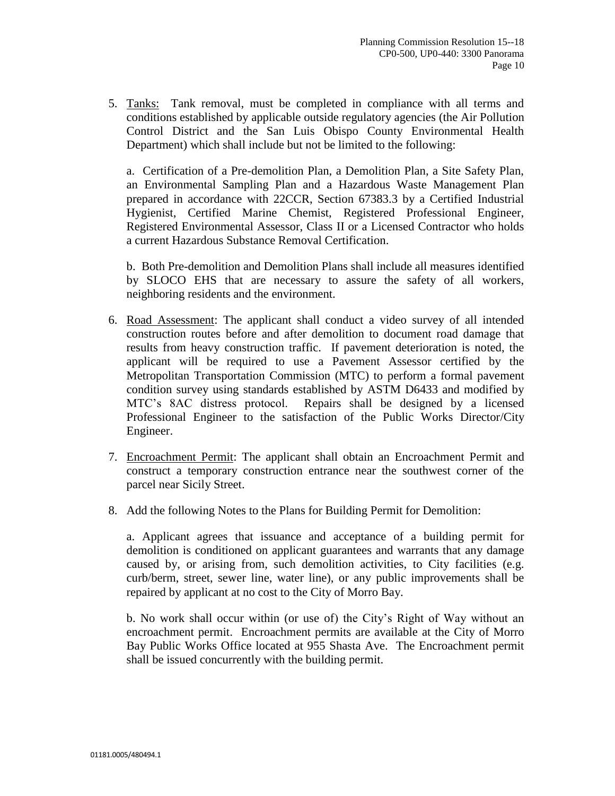5. Tanks: Tank removal, must be completed in compliance with all terms and conditions established by applicable outside regulatory agencies (the Air Pollution Control District and the San Luis Obispo County Environmental Health Department) which shall include but not be limited to the following:

a. Certification of a Pre-demolition Plan, a Demolition Plan, a Site Safety Plan, an Environmental Sampling Plan and a Hazardous Waste Management Plan prepared in accordance with 22CCR, Section 67383.3 by a Certified Industrial Hygienist, Certified Marine Chemist, Registered Professional Engineer, Registered Environmental Assessor, Class II or a Licensed Contractor who holds a current Hazardous Substance Removal Certification.

b. Both Pre-demolition and Demolition Plans shall include all measures identified by SLOCO EHS that are necessary to assure the safety of all workers, neighboring residents and the environment.

- 6. Road Assessment: The applicant shall conduct a video survey of all intended construction routes before and after demolition to document road damage that results from heavy construction traffic. If pavement deterioration is noted, the applicant will be required to use a Pavement Assessor certified by the Metropolitan Transportation Commission (MTC) to perform a formal pavement condition survey using standards established by ASTM D6433 and modified by MTC's 8AC distress protocol. Repairs shall be designed by a licensed Professional Engineer to the satisfaction of the Public Works Director/City Engineer.
- 7. Encroachment Permit: The applicant shall obtain an Encroachment Permit and construct a temporary construction entrance near the southwest corner of the parcel near Sicily Street.
- 8. Add the following Notes to the Plans for Building Permit for Demolition:

a. Applicant agrees that issuance and acceptance of a building permit for demolition is conditioned on applicant guarantees and warrants that any damage caused by, or arising from, such demolition activities, to City facilities (e.g. curb/berm, street, sewer line, water line), or any public improvements shall be repaired by applicant at no cost to the City of Morro Bay.

b. No work shall occur within (or use of) the City's Right of Way without an encroachment permit. Encroachment permits are available at the City of Morro Bay Public Works Office located at 955 Shasta Ave. The Encroachment permit shall be issued concurrently with the building permit.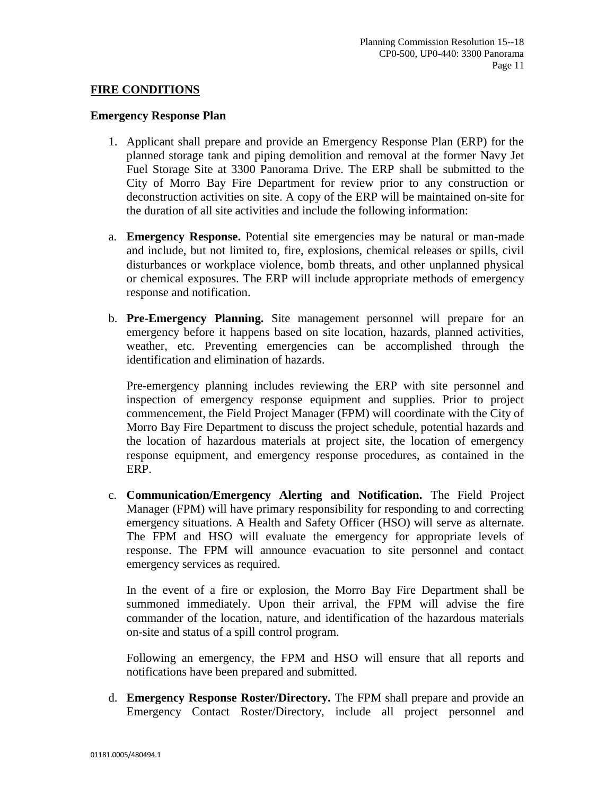#### **FIRE CONDITIONS**

#### **Emergency Response Plan**

- 1. Applicant shall prepare and provide an Emergency Response Plan (ERP) for the planned storage tank and piping demolition and removal at the former Navy Jet Fuel Storage Site at 3300 Panorama Drive. The ERP shall be submitted to the City of Morro Bay Fire Department for review prior to any construction or deconstruction activities on site. A copy of the ERP will be maintained on-site for the duration of all site activities and include the following information:
- a. **Emergency Response.** Potential site emergencies may be natural or man-made and include, but not limited to, fire, explosions, chemical releases or spills, civil disturbances or workplace violence, bomb threats, and other unplanned physical or chemical exposures. The ERP will include appropriate methods of emergency response and notification.
- b. **Pre-Emergency Planning.** Site management personnel will prepare for an emergency before it happens based on site location, hazards, planned activities, weather, etc. Preventing emergencies can be accomplished through the identification and elimination of hazards.

Pre-emergency planning includes reviewing the ERP with site personnel and inspection of emergency response equipment and supplies. Prior to project commencement, the Field Project Manager (FPM) will coordinate with the City of Morro Bay Fire Department to discuss the project schedule, potential hazards and the location of hazardous materials at project site, the location of emergency response equipment, and emergency response procedures, as contained in the ERP.

c. **Communication/Emergency Alerting and Notification.** The Field Project Manager (FPM) will have primary responsibility for responding to and correcting emergency situations. A Health and Safety Officer (HSO) will serve as alternate. The FPM and HSO will evaluate the emergency for appropriate levels of response. The FPM will announce evacuation to site personnel and contact emergency services as required.

In the event of a fire or explosion, the Morro Bay Fire Department shall be summoned immediately. Upon their arrival, the FPM will advise the fire commander of the location, nature, and identification of the hazardous materials on-site and status of a spill control program.

Following an emergency, the FPM and HSO will ensure that all reports and notifications have been prepared and submitted.

d. **Emergency Response Roster/Directory.** The FPM shall prepare and provide an Emergency Contact Roster/Directory, include all project personnel and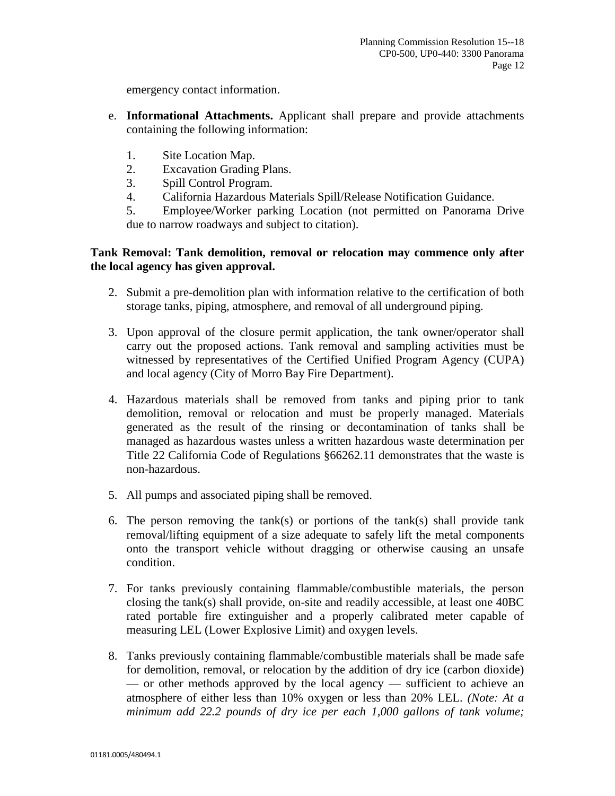emergency contact information.

- e. **Informational Attachments.** Applicant shall prepare and provide attachments containing the following information:
	- 1. Site Location Map.
	- 2. Excavation Grading Plans.
	- 3. Spill Control Program.
	- 4. California Hazardous Materials Spill/Release Notification Guidance.

5. Employee/Worker parking Location (not permitted on Panorama Drive due to narrow roadways and subject to citation).

#### **Tank Removal: Tank demolition, removal or relocation may commence only after the local agency has given approval.**

- 2. Submit a pre-demolition plan with information relative to the certification of both storage tanks, piping, atmosphere, and removal of all underground piping.
- 3. Upon approval of the closure permit application, the tank owner/operator shall carry out the proposed actions. Tank removal and sampling activities must be witnessed by representatives of the Certified Unified Program Agency (CUPA) and local agency (City of Morro Bay Fire Department).
- 4. Hazardous materials shall be removed from tanks and piping prior to tank demolition, removal or relocation and must be properly managed. Materials generated as the result of the rinsing or decontamination of tanks shall be managed as hazardous wastes unless a written hazardous waste determination per Title 22 California Code of Regulations §66262.11 demonstrates that the waste is non-hazardous.
- 5. All pumps and associated piping shall be removed.
- 6. The person removing the tank(s) or portions of the tank(s) shall provide tank removal/lifting equipment of a size adequate to safely lift the metal components onto the transport vehicle without dragging or otherwise causing an unsafe condition.
- 7. For tanks previously containing flammable/combustible materials, the person closing the tank(s) shall provide, on-site and readily accessible, at least one 40BC rated portable fire extinguisher and a properly calibrated meter capable of measuring LEL (Lower Explosive Limit) and oxygen levels.
- 8. Tanks previously containing flammable/combustible materials shall be made safe for demolition, removal, or relocation by the addition of dry ice (carbon dioxide) — or other methods approved by the local agency — sufficient to achieve an atmosphere of either less than 10% oxygen or less than 20% LEL. *(Note: At a minimum add 22.2 pounds of dry ice per each 1,000 gallons of tank volume;*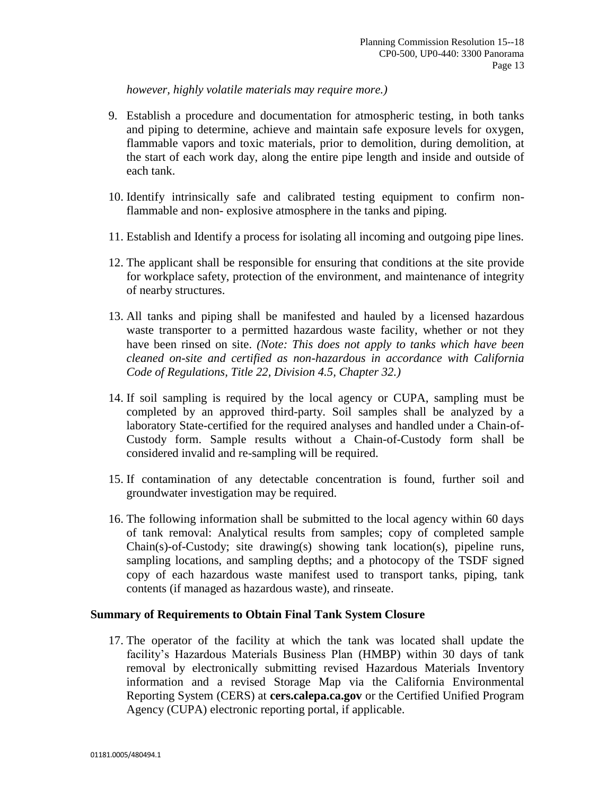*however, highly volatile materials may require more.)*

- 9. Establish a procedure and documentation for atmospheric testing, in both tanks and piping to determine, achieve and maintain safe exposure levels for oxygen, flammable vapors and toxic materials, prior to demolition, during demolition, at the start of each work day, along the entire pipe length and inside and outside of each tank.
- 10. Identify intrinsically safe and calibrated testing equipment to confirm nonflammable and non- explosive atmosphere in the tanks and piping.
- 11. Establish and Identify a process for isolating all incoming and outgoing pipe lines.
- 12. The applicant shall be responsible for ensuring that conditions at the site provide for workplace safety, protection of the environment, and maintenance of integrity of nearby structures.
- 13. All tanks and piping shall be manifested and hauled by a licensed hazardous waste transporter to a permitted hazardous waste facility, whether or not they have been rinsed on site. *(Note: This does not apply to tanks which have been cleaned on-site and certified as non-hazardous in accordance with California Code of Regulations, Title 22, Division 4.5, Chapter 32.)*
- 14. If soil sampling is required by the local agency or CUPA, sampling must be completed by an approved third-party. Soil samples shall be analyzed by a laboratory State-certified for the required analyses and handled under a Chain-of-Custody form. Sample results without a Chain-of-Custody form shall be considered invalid and re-sampling will be required.
- 15. If contamination of any detectable concentration is found, further soil and groundwater investigation may be required.
- 16. The following information shall be submitted to the local agency within 60 days of tank removal: Analytical results from samples; copy of completed sample Chain(s)-of-Custody; site drawing(s) showing tank location(s), pipeline runs, sampling locations, and sampling depths; and a photocopy of the TSDF signed copy of each hazardous waste manifest used to transport tanks, piping, tank contents (if managed as hazardous waste), and rinseate.

#### **Summary of Requirements to Obtain Final Tank System Closure**

17. The operator of the facility at which the tank was located shall update the facility's Hazardous Materials Business Plan (HMBP) within 30 days of tank removal by electronically submitting revised Hazardous Materials Inventory information and a revised Storage Map via the California Environmental Reporting System (CERS) at **cers.calepa.ca.gov** or the Certified Unified Program Agency (CUPA) electronic reporting portal, if applicable.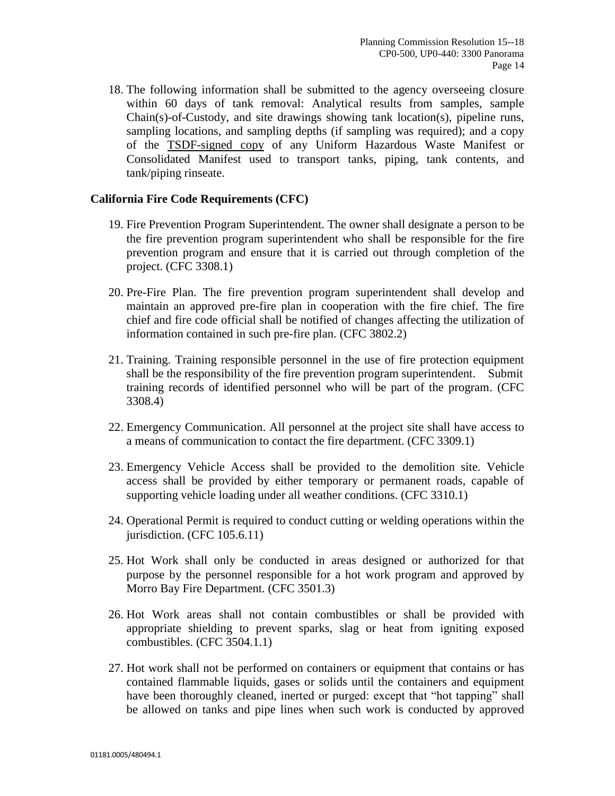18. The following information shall be submitted to the agency overseeing closure within 60 days of tank removal: Analytical results from samples, sample Chain(s)-of-Custody, and site drawings showing tank location(s), pipeline runs, sampling locations, and sampling depths (if sampling was required); and a copy of the TSDF-signed copy of any Uniform Hazardous Waste Manifest or Consolidated Manifest used to transport tanks, piping, tank contents, and tank/piping rinseate.

#### **California Fire Code Requirements (CFC)**

- 19. Fire Prevention Program Superintendent. The owner shall designate a person to be the fire prevention program superintendent who shall be responsible for the fire prevention program and ensure that it is carried out through completion of the project. (CFC 3308.1)
- 20. Pre-Fire Plan. The fire prevention program superintendent shall develop and maintain an approved pre-fire plan in cooperation with the fire chief. The fire chief and fire code official shall be notified of changes affecting the utilization of information contained in such pre-fire plan. (CFC 3802.2)
- 21. Training. Training responsible personnel in the use of fire protection equipment shall be the responsibility of the fire prevention program superintendent. Submit training records of identified personnel who will be part of the program. (CFC 3308.4)
- 22. Emergency Communication. All personnel at the project site shall have access to a means of communication to contact the fire department. (CFC 3309.1)
- 23. Emergency Vehicle Access shall be provided to the demolition site. Vehicle access shall be provided by either temporary or permanent roads, capable of supporting vehicle loading under all weather conditions. (CFC 3310.1)
- 24. Operational Permit is required to conduct cutting or welding operations within the jurisdiction. (CFC 105.6.11)
- 25. Hot Work shall only be conducted in areas designed or authorized for that purpose by the personnel responsible for a hot work program and approved by Morro Bay Fire Department. (CFC 3501.3)
- 26. Hot Work areas shall not contain combustibles or shall be provided with appropriate shielding to prevent sparks, slag or heat from igniting exposed combustibles. (CFC 3504.1.1)
- 27. Hot work shall not be performed on containers or equipment that contains or has contained flammable liquids, gases or solids until the containers and equipment have been thoroughly cleaned, inerted or purged: except that "hot tapping" shall be allowed on tanks and pipe lines when such work is conducted by approved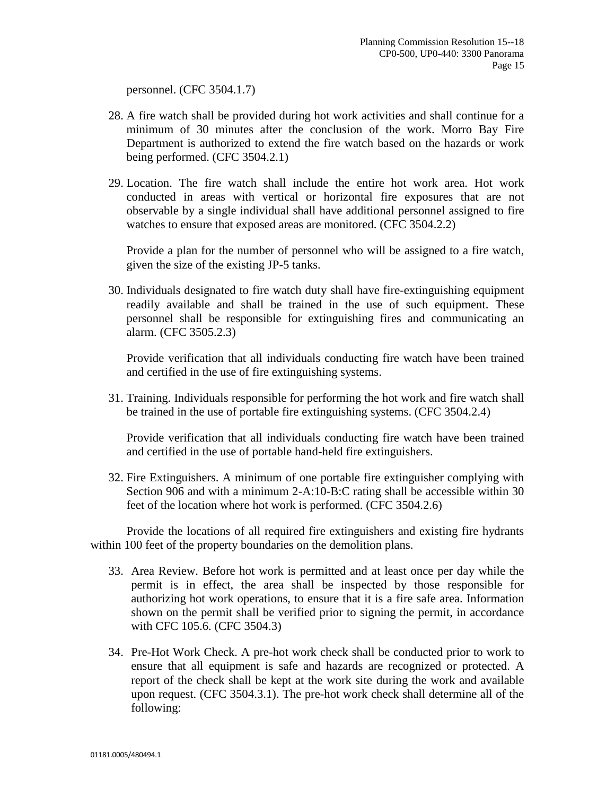personnel. (CFC 3504.1.7)

- 28. A fire watch shall be provided during hot work activities and shall continue for a minimum of 30 minutes after the conclusion of the work. Morro Bay Fire Department is authorized to extend the fire watch based on the hazards or work being performed. (CFC 3504.2.1)
- 29. Location. The fire watch shall include the entire hot work area. Hot work conducted in areas with vertical or horizontal fire exposures that are not observable by a single individual shall have additional personnel assigned to fire watches to ensure that exposed areas are monitored. (CFC 3504.2.2)

Provide a plan for the number of personnel who will be assigned to a fire watch, given the size of the existing JP-5 tanks.

30. Individuals designated to fire watch duty shall have fire-extinguishing equipment readily available and shall be trained in the use of such equipment. These personnel shall be responsible for extinguishing fires and communicating an alarm. (CFC 3505.2.3)

Provide verification that all individuals conducting fire watch have been trained and certified in the use of fire extinguishing systems.

31. Training. Individuals responsible for performing the hot work and fire watch shall be trained in the use of portable fire extinguishing systems. (CFC 3504.2.4)

Provide verification that all individuals conducting fire watch have been trained and certified in the use of portable hand-held fire extinguishers.

32. Fire Extinguishers. A minimum of one portable fire extinguisher complying with Section 906 and with a minimum 2-A:10-B:C rating shall be accessible within 30 feet of the location where hot work is performed. (CFC 3504.2.6)

Provide the locations of all required fire extinguishers and existing fire hydrants within 100 feet of the property boundaries on the demolition plans.

- 33. Area Review. Before hot work is permitted and at least once per day while the permit is in effect, the area shall be inspected by those responsible for authorizing hot work operations, to ensure that it is a fire safe area. Information shown on the permit shall be verified prior to signing the permit, in accordance with CFC 105.6. (CFC 3504.3)
- 34. Pre-Hot Work Check. A pre-hot work check shall be conducted prior to work to ensure that all equipment is safe and hazards are recognized or protected. A report of the check shall be kept at the work site during the work and available upon request. (CFC 3504.3.1). The pre-hot work check shall determine all of the following: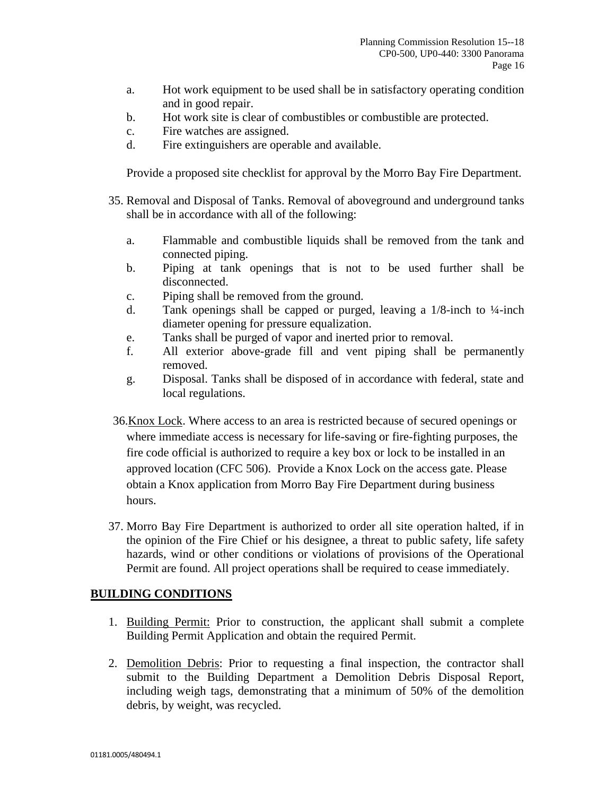- a. Hot work equipment to be used shall be in satisfactory operating condition and in good repair.
- b. Hot work site is clear of combustibles or combustible are protected.
- c. Fire watches are assigned.
- d. Fire extinguishers are operable and available.

Provide a proposed site checklist for approval by the Morro Bay Fire Department.

- 35. Removal and Disposal of Tanks. Removal of aboveground and underground tanks shall be in accordance with all of the following:
	- a. Flammable and combustible liquids shall be removed from the tank and connected piping.
	- b. Piping at tank openings that is not to be used further shall be disconnected.
	- c. Piping shall be removed from the ground.
	- d. Tank openings shall be capped or purged, leaving a  $1/8$ -inch to  $\frac{1}{4}$ -inch diameter opening for pressure equalization.
	- e. Tanks shall be purged of vapor and inerted prior to removal.
	- f. All exterior above-grade fill and vent piping shall be permanently removed.
	- g. Disposal. Tanks shall be disposed of in accordance with federal, state and local regulations.
- 36.Knox Lock. Where access to an area is restricted because of secured openings or where immediate access is necessary for life-saving or fire-fighting purposes, the fire code official is authorized to require a key box or lock to be installed in an approved location (CFC 506). Provide a Knox Lock on the access gate. Please obtain a Knox application from Morro Bay Fire Department during business hours.
- 37. Morro Bay Fire Department is authorized to order all site operation halted, if in the opinion of the Fire Chief or his designee, a threat to public safety, life safety hazards, wind or other conditions or violations of provisions of the Operational Permit are found. All project operations shall be required to cease immediately.

#### **BUILDING CONDITIONS**

- 1. Building Permit: Prior to construction, the applicant shall submit a complete Building Permit Application and obtain the required Permit.
- 2. Demolition Debris: Prior to requesting a final inspection, the contractor shall submit to the Building Department a Demolition Debris Disposal Report, including weigh tags, demonstrating that a minimum of 50% of the demolition debris, by weight, was recycled.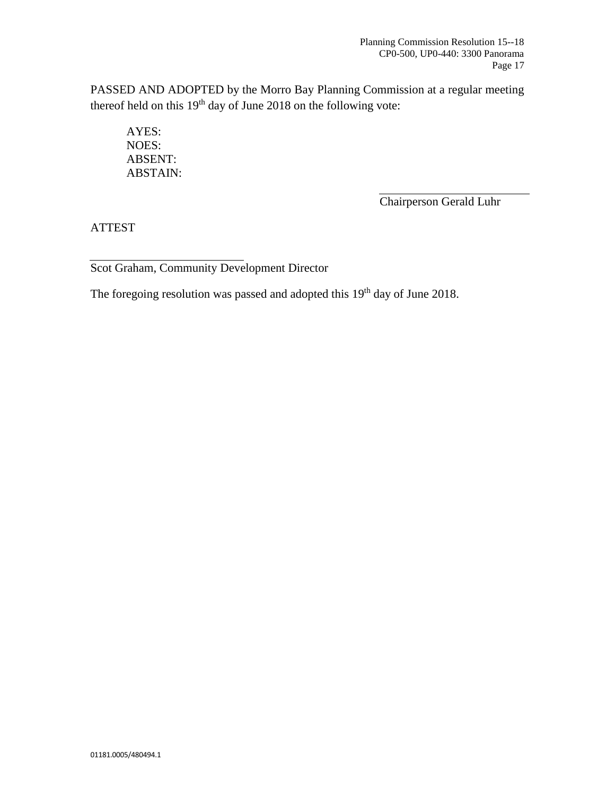PASSED AND ADOPTED by the Morro Bay Planning Commission at a regular meeting thereof held on this  $19<sup>th</sup>$  day of June 2018 on the following vote:

AYES: NOES: ABSENT: ABSTAIN:

Chairperson Gerald Luhr

ATTEST

Scot Graham, Community Development Director

The foregoing resolution was passed and adopted this 19<sup>th</sup> day of June 2018.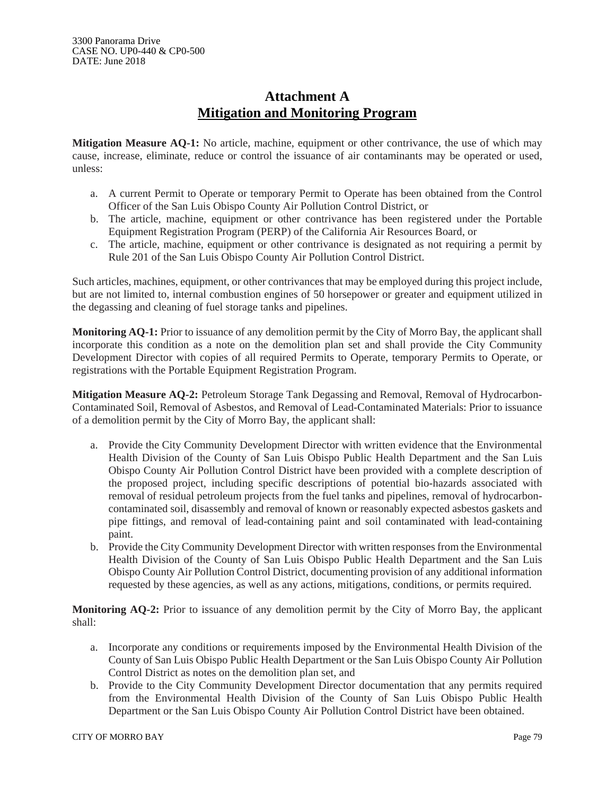## **Attachment A Mitigation and Monitoring Program**

**Mitigation Measure AQ-1:** No article, machine, equipment or other contrivance, the use of which may cause, increase, eliminate, reduce or control the issuance of air contaminants may be operated or used, unless:

- a. A current Permit to Operate or temporary Permit to Operate has been obtained from the Control Officer of the San Luis Obispo County Air Pollution Control District, or
- b. The article, machine, equipment or other contrivance has been registered under the Portable Equipment Registration Program (PERP) of the California Air Resources Board, or
- c. The article, machine, equipment or other contrivance is designated as not requiring a permit by Rule 201 of the San Luis Obispo County Air Pollution Control District.

Such articles, machines, equipment, or other contrivances that may be employed during this project include, but are not limited to, internal combustion engines of 50 horsepower or greater and equipment utilized in the degassing and cleaning of fuel storage tanks and pipelines.

**Monitoring AQ-1:** Prior to issuance of any demolition permit by the City of Morro Bay, the applicant shall incorporate this condition as a note on the demolition plan set and shall provide the City Community Development Director with copies of all required Permits to Operate, temporary Permits to Operate, or registrations with the Portable Equipment Registration Program.

**Mitigation Measure AQ-2:** Petroleum Storage Tank Degassing and Removal, Removal of Hydrocarbon-Contaminated Soil, Removal of Asbestos, and Removal of Lead-Contaminated Materials: Prior to issuance of a demolition permit by the City of Morro Bay, the applicant shall:

- a. Provide the City Community Development Director with written evidence that the Environmental Health Division of the County of San Luis Obispo Public Health Department and the San Luis Obispo County Air Pollution Control District have been provided with a complete description of the proposed project, including specific descriptions of potential bio-hazards associated with removal of residual petroleum projects from the fuel tanks and pipelines, removal of hydrocarboncontaminated soil, disassembly and removal of known or reasonably expected asbestos gaskets and pipe fittings, and removal of lead-containing paint and soil contaminated with lead-containing paint.
- b. Provide the City Community Development Director with written responses from the Environmental Health Division of the County of San Luis Obispo Public Health Department and the San Luis Obispo County Air Pollution Control District, documenting provision of any additional information requested by these agencies, as well as any actions, mitigations, conditions, or permits required.

**Monitoring AQ-2:** Prior to issuance of any demolition permit by the City of Morro Bay, the applicant shall:

- a. Incorporate any conditions or requirements imposed by the Environmental Health Division of the County of San Luis Obispo Public Health Department or the San Luis Obispo County Air Pollution Control District as notes on the demolition plan set, and
- b. Provide to the City Community Development Director documentation that any permits required from the Environmental Health Division of the County of San Luis Obispo Public Health Department or the San Luis Obispo County Air Pollution Control District have been obtained.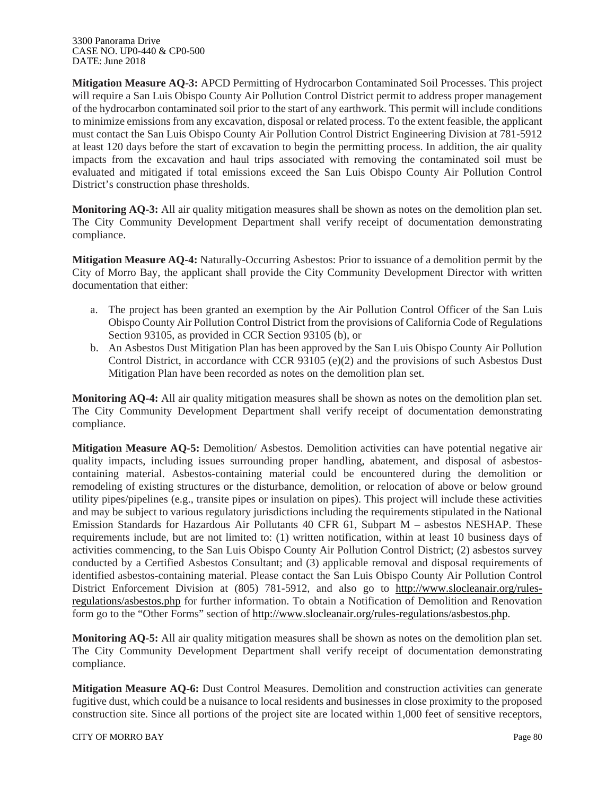**Mitigation Measure AQ-3:** APCD Permitting of Hydrocarbon Contaminated Soil Processes. This project will require a San Luis Obispo County Air Pollution Control District permit to address proper management of the hydrocarbon contaminated soil prior to the start of any earthwork. This permit will include conditions to minimize emissions from any excavation, disposal or related process. To the extent feasible, the applicant must contact the San Luis Obispo County Air Pollution Control District Engineering Division at 781-5912 at least 120 days before the start of excavation to begin the permitting process. In addition, the air quality impacts from the excavation and haul trips associated with removing the contaminated soil must be evaluated and mitigated if total emissions exceed the San Luis Obispo County Air Pollution Control District's construction phase thresholds.

**Monitoring AQ-3:** All air quality mitigation measures shall be shown as notes on the demolition plan set. The City Community Development Department shall verify receipt of documentation demonstrating compliance.

**Mitigation Measure AQ-4:** Naturally-Occurring Asbestos: Prior to issuance of a demolition permit by the City of Morro Bay, the applicant shall provide the City Community Development Director with written documentation that either:

- a. The project has been granted an exemption by the Air Pollution Control Officer of the San Luis Obispo County Air Pollution Control District from the provisions of California Code of Regulations Section 93105, as provided in CCR Section 93105 (b), or
- b. An Asbestos Dust Mitigation Plan has been approved by the San Luis Obispo County Air Pollution Control District, in accordance with CCR 93105 (e)(2) and the provisions of such Asbestos Dust Mitigation Plan have been recorded as notes on the demolition plan set.

**Monitoring AQ-4:** All air quality mitigation measures shall be shown as notes on the demolition plan set. The City Community Development Department shall verify receipt of documentation demonstrating compliance.

**Mitigation Measure AQ-5:** Demolition/ Asbestos. Demolition activities can have potential negative air quality impacts, including issues surrounding proper handling, abatement, and disposal of asbestoscontaining material. Asbestos-containing material could be encountered during the demolition or remodeling of existing structures or the disturbance, demolition, or relocation of above or below ground utility pipes/pipelines (e.g., transite pipes or insulation on pipes). This project will include these activities and may be subject to various regulatory jurisdictions including the requirements stipulated in the National Emission Standards for Hazardous Air Pollutants 40 CFR 61, Subpart M – asbestos NESHAP. These requirements include, but are not limited to: (1) written notification, within at least 10 business days of activities commencing, to the San Luis Obispo County Air Pollution Control District; (2) asbestos survey conducted by a Certified Asbestos Consultant; and (3) applicable removal and disposal requirements of identified asbestos-containing material. Please contact the San Luis Obispo County Air Pollution Control District Enforcement Division at (805) 781-5912, and also go to http://www.slocleanair.org/rulesregulations/asbestos.php for further information. To obtain a Notification of Demolition and Renovation form go to the "Other Forms" section of http://www.slocleanair.org/rules-regulations/asbestos.php.

**Monitoring AQ-5:** All air quality mitigation measures shall be shown as notes on the demolition plan set. The City Community Development Department shall verify receipt of documentation demonstrating compliance.

**Mitigation Measure AQ-6:** Dust Control Measures. Demolition and construction activities can generate fugitive dust, which could be a nuisance to local residents and businesses in close proximity to the proposed construction site. Since all portions of the project site are located within 1,000 feet of sensitive receptors,

CITY OF MORRO BAY Page 80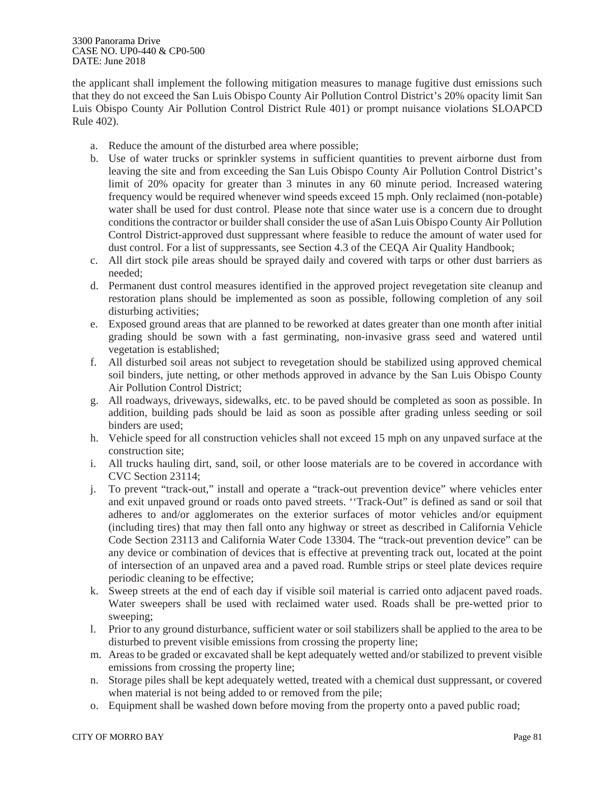#### 3300 Panorama Drive CASE NO. UP0-440 & CP0-500 DATE: June 2018

the applicant shall implement the following mitigation measures to manage fugitive dust emissions such that they do not exceed the San Luis Obispo County Air Pollution Control District's 20% opacity limit San Luis Obispo County Air Pollution Control District Rule 401) or prompt nuisance violations SLOAPCD Rule 402).

- a. Reduce the amount of the disturbed area where possible;
- b. Use of water trucks or sprinkler systems in sufficient quantities to prevent airborne dust from leaving the site and from exceeding the San Luis Obispo County Air Pollution Control District's limit of 20% opacity for greater than 3 minutes in any 60 minute period. Increased watering frequency would be required whenever wind speeds exceed 15 mph. Only reclaimed (non-potable) water shall be used for dust control. Please note that since water use is a concern due to drought conditions the contractor or builder shall consider the use of aSan Luis Obispo County Air Pollution Control District-approved dust suppressant where feasible to reduce the amount of water used for dust control. For a list of suppressants, see Section 4.3 of the CEQA Air Quality Handbook;
- c. All dirt stock pile areas should be sprayed daily and covered with tarps or other dust barriers as needed;
- d. Permanent dust control measures identified in the approved project revegetation site cleanup and restoration plans should be implemented as soon as possible, following completion of any soil disturbing activities;
- e. Exposed ground areas that are planned to be reworked at dates greater than one month after initial grading should be sown with a fast germinating, non-invasive grass seed and watered until vegetation is established;
- f. All disturbed soil areas not subject to revegetation should be stabilized using approved chemical soil binders, jute netting, or other methods approved in advance by the San Luis Obispo County Air Pollution Control District;
- g. All roadways, driveways, sidewalks, etc. to be paved should be completed as soon as possible. In addition, building pads should be laid as soon as possible after grading unless seeding or soil binders are used;
- h. Vehicle speed for all construction vehicles shall not exceed 15 mph on any unpaved surface at the construction site;
- i. All trucks hauling dirt, sand, soil, or other loose materials are to be covered in accordance with CVC Section 23114;
- j. To prevent "track-out," install and operate a "track-out prevention device" where vehicles enter and exit unpaved ground or roads onto paved streets. ''Track-Out" is defined as sand or soil that adheres to and/or agglomerates on the exterior surfaces of motor vehicles and/or equipment (including tires) that may then fall onto any highway or street as described in California Vehicle Code Section 23113 and California Water Code 13304. The "track-out prevention device" can be any device or combination of devices that is effective at preventing track out, located at the point of intersection of an unpaved area and a paved road. Rumble strips or steel plate devices require periodic cleaning to be effective;
- k. Sweep streets at the end of each day if visible soil material is carried onto adjacent paved roads. Water sweepers shall be used with reclaimed water used. Roads shall be pre-wetted prior to sweeping;
- l. Prior to any ground disturbance, sufficient water or soil stabilizers shall be applied to the area to be disturbed to prevent visible emissions from crossing the property line;
- m. Areas to be graded or excavated shall be kept adequately wetted and/or stabilized to prevent visible emissions from crossing the property line;
- n. Storage piles shall be kept adequately wetted, treated with a chemical dust suppressant, or covered when material is not being added to or removed from the pile;
- o. Equipment shall be washed down before moving from the property onto a paved public road;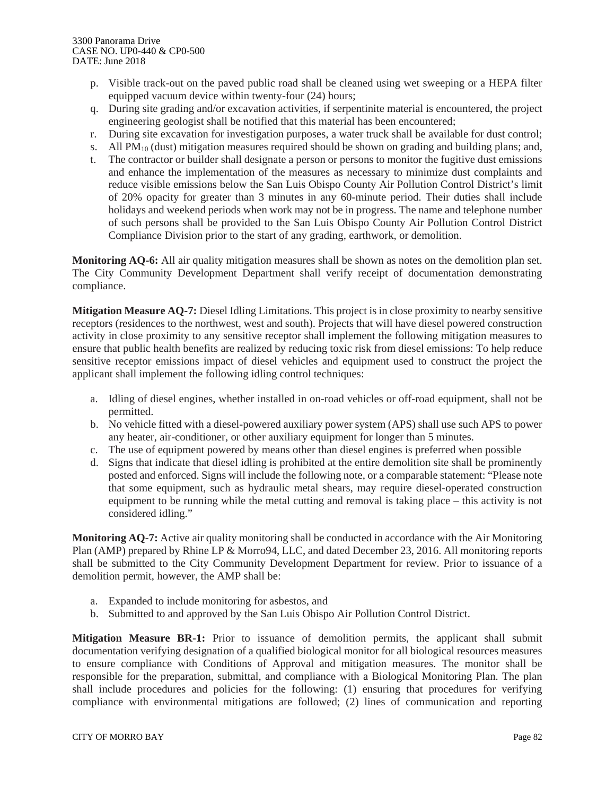- p. Visible track-out on the paved public road shall be cleaned using wet sweeping or a HEPA filter equipped vacuum device within twenty-four (24) hours;
- q. During site grading and/or excavation activities, if serpentinite material is encountered, the project engineering geologist shall be notified that this material has been encountered;
- r. During site excavation for investigation purposes, a water truck shall be available for dust control;
- s. All  $PM_{10}$  (dust) mitigation measures required should be shown on grading and building plans; and,
- t. The contractor or builder shall designate a person or persons to monitor the fugitive dust emissions and enhance the implementation of the measures as necessary to minimize dust complaints and reduce visible emissions below the San Luis Obispo County Air Pollution Control District's limit of 20% opacity for greater than 3 minutes in any 60-minute period. Their duties shall include holidays and weekend periods when work may not be in progress. The name and telephone number of such persons shall be provided to the San Luis Obispo County Air Pollution Control District Compliance Division prior to the start of any grading, earthwork, or demolition.

**Monitoring AQ-6:** All air quality mitigation measures shall be shown as notes on the demolition plan set. The City Community Development Department shall verify receipt of documentation demonstrating compliance.

**Mitigation Measure AQ-7:** Diesel Idling Limitations. This project is in close proximity to nearby sensitive receptors (residences to the northwest, west and south). Projects that will have diesel powered construction activity in close proximity to any sensitive receptor shall implement the following mitigation measures to ensure that public health benefits are realized by reducing toxic risk from diesel emissions: To help reduce sensitive receptor emissions impact of diesel vehicles and equipment used to construct the project the applicant shall implement the following idling control techniques:

- a. Idling of diesel engines, whether installed in on-road vehicles or off-road equipment, shall not be permitted.
- b. No vehicle fitted with a diesel-powered auxiliary power system (APS) shall use such APS to power any heater, air-conditioner, or other auxiliary equipment for longer than 5 minutes.
- c. The use of equipment powered by means other than diesel engines is preferred when possible
- d. Signs that indicate that diesel idling is prohibited at the entire demolition site shall be prominently posted and enforced. Signs will include the following note, or a comparable statement: "Please note that some equipment, such as hydraulic metal shears, may require diesel-operated construction equipment to be running while the metal cutting and removal is taking place – this activity is not considered idling."

**Monitoring AQ-7:** Active air quality monitoring shall be conducted in accordance with the Air Monitoring Plan (AMP) prepared by Rhine LP & Morro94, LLC, and dated December 23, 2016. All monitoring reports shall be submitted to the City Community Development Department for review. Prior to issuance of a demolition permit, however, the AMP shall be:

- a. Expanded to include monitoring for asbestos, and
- b. Submitted to and approved by the San Luis Obispo Air Pollution Control District.

**Mitigation Measure BR-1:** Prior to issuance of demolition permits, the applicant shall submit documentation verifying designation of a qualified biological monitor for all biological resources measures to ensure compliance with Conditions of Approval and mitigation measures. The monitor shall be responsible for the preparation, submittal, and compliance with a Biological Monitoring Plan. The plan shall include procedures and policies for the following: (1) ensuring that procedures for verifying compliance with environmental mitigations are followed; (2) lines of communication and reporting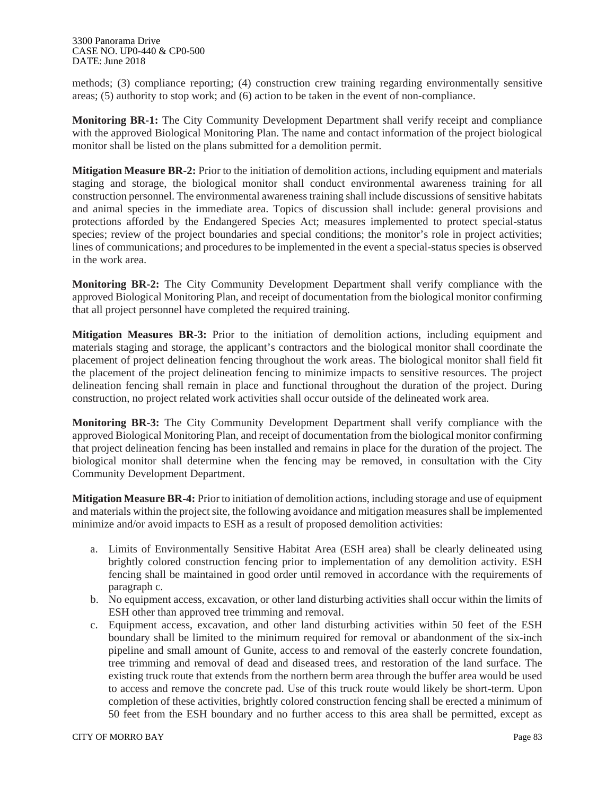methods; (3) compliance reporting; (4) construction crew training regarding environmentally sensitive areas; (5) authority to stop work; and (6) action to be taken in the event of non-compliance.

**Monitoring BR-1:** The City Community Development Department shall verify receipt and compliance with the approved Biological Monitoring Plan. The name and contact information of the project biological monitor shall be listed on the plans submitted for a demolition permit.

**Mitigation Measure BR-2:** Prior to the initiation of demolition actions, including equipment and materials staging and storage, the biological monitor shall conduct environmental awareness training for all construction personnel. The environmental awareness training shall include discussions of sensitive habitats and animal species in the immediate area. Topics of discussion shall include: general provisions and protections afforded by the Endangered Species Act; measures implemented to protect special-status species; review of the project boundaries and special conditions; the monitor's role in project activities; lines of communications; and procedures to be implemented in the event a special-status species is observed in the work area.

**Monitoring BR-2:** The City Community Development Department shall verify compliance with the approved Biological Monitoring Plan, and receipt of documentation from the biological monitor confirming that all project personnel have completed the required training.

**Mitigation Measures BR-3:** Prior to the initiation of demolition actions, including equipment and materials staging and storage, the applicant's contractors and the biological monitor shall coordinate the placement of project delineation fencing throughout the work areas. The biological monitor shall field fit the placement of the project delineation fencing to minimize impacts to sensitive resources. The project delineation fencing shall remain in place and functional throughout the duration of the project. During construction, no project related work activities shall occur outside of the delineated work area.

**Monitoring BR-3:** The City Community Development Department shall verify compliance with the approved Biological Monitoring Plan, and receipt of documentation from the biological monitor confirming that project delineation fencing has been installed and remains in place for the duration of the project. The biological monitor shall determine when the fencing may be removed, in consultation with the City Community Development Department.

**Mitigation Measure BR-4:** Prior to initiation of demolition actions, including storage and use of equipment and materials within the project site, the following avoidance and mitigation measures shall be implemented minimize and/or avoid impacts to ESH as a result of proposed demolition activities:

- a. Limits of Environmentally Sensitive Habitat Area (ESH area) shall be clearly delineated using brightly colored construction fencing prior to implementation of any demolition activity. ESH fencing shall be maintained in good order until removed in accordance with the requirements of paragraph c.
- b. No equipment access, excavation, or other land disturbing activities shall occur within the limits of ESH other than approved tree trimming and removal.
- c. Equipment access, excavation, and other land disturbing activities within 50 feet of the ESH boundary shall be limited to the minimum required for removal or abandonment of the six-inch pipeline and small amount of Gunite, access to and removal of the easterly concrete foundation, tree trimming and removal of dead and diseased trees, and restoration of the land surface. The existing truck route that extends from the northern berm area through the buffer area would be used to access and remove the concrete pad. Use of this truck route would likely be short-term. Upon completion of these activities, brightly colored construction fencing shall be erected a minimum of 50 feet from the ESH boundary and no further access to this area shall be permitted, except as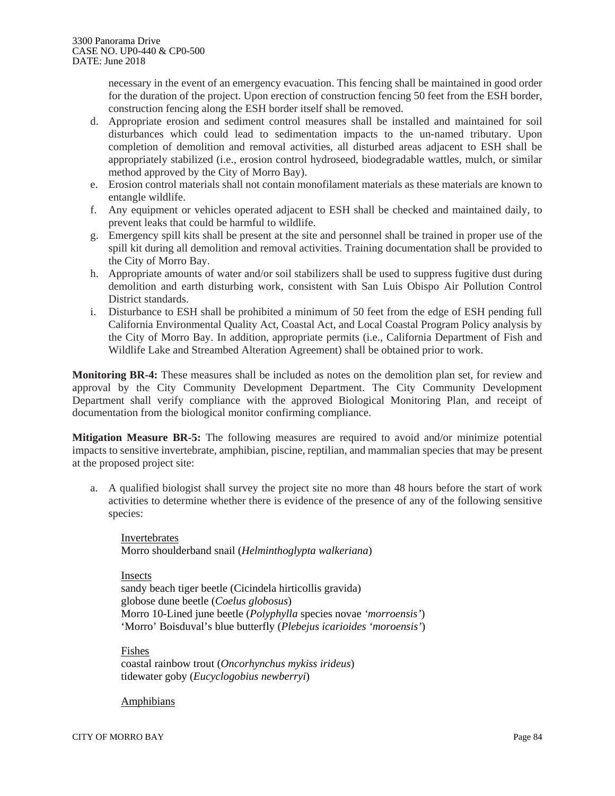necessary in the event of an emergency evacuation. This fencing shall be maintained in good order for the duration of the project. Upon erection of construction fencing 50 feet from the ESH border, construction fencing along the ESH border itself shall be removed.

- d. Appropriate erosion and sediment control measures shall be installed and maintained for soil disturbances which could lead to sedimentation impacts to the un-named tributary. Upon completion of demolition and removal activities, all disturbed areas adjacent to ESH shall be appropriately stabilized (i.e., erosion control hydroseed, biodegradable wattles, mulch, or similar method approved by the City of Morro Bay).
- e. Erosion control materials shall not contain monofilament materials as these materials are known to entangle wildlife.
- f. Any equipment or vehicles operated adjacent to ESH shall be checked and maintained daily, to prevent leaks that could be harmful to wildlife.
- g. Emergency spill kits shall be present at the site and personnel shall be trained in proper use of the spill kit during all demolition and removal activities. Training documentation shall be provided to the City of Morro Bay.
- h. Appropriate amounts of water and/or soil stabilizers shall be used to suppress fugitive dust during demolition and earth disturbing work, consistent with San Luis Obispo Air Pollution Control District standards.
- i. Disturbance to ESH shall be prohibited a minimum of 50 feet from the edge of ESH pending full California Environmental Quality Act, Coastal Act, and Local Coastal Program Policy analysis by the City of Morro Bay. In addition, appropriate permits (i.e., California Department of Fish and Wildlife Lake and Streambed Alteration Agreement) shall be obtained prior to work.

**Monitoring BR-4:** These measures shall be included as notes on the demolition plan set, for review and approval by the City Community Development Department. The City Community Development Department shall verify compliance with the approved Biological Monitoring Plan, and receipt of documentation from the biological monitor confirming compliance.

**Mitigation Measure BR-5:** The following measures are required to avoid and/or minimize potential impacts to sensitive invertebrate, amphibian, piscine, reptilian, and mammalian species that may be present at the proposed project site:

a. A qualified biologist shall survey the project site no more than 48 hours before the start of work activities to determine whether there is evidence of the presence of any of the following sensitive species:

Invertebrates Morro shoulderband snail (*Helminthoglypta walkeriana*)

Insects

sandy beach tiger beetle (Cicindela hirticollis gravida) globose dune beetle (*Coelus globosus*) Morro 10-Lined june beetle (*Polyphylla* species novae *'morroensis'*) 'Morro' Boisduval's blue butterfly (*Plebejus icarioides 'moroensis'*)

Fishes coastal rainbow trout (*Oncorhynchus mykiss irideus*) tidewater goby (*Eucyclogobius newberryi*)

#### Amphibians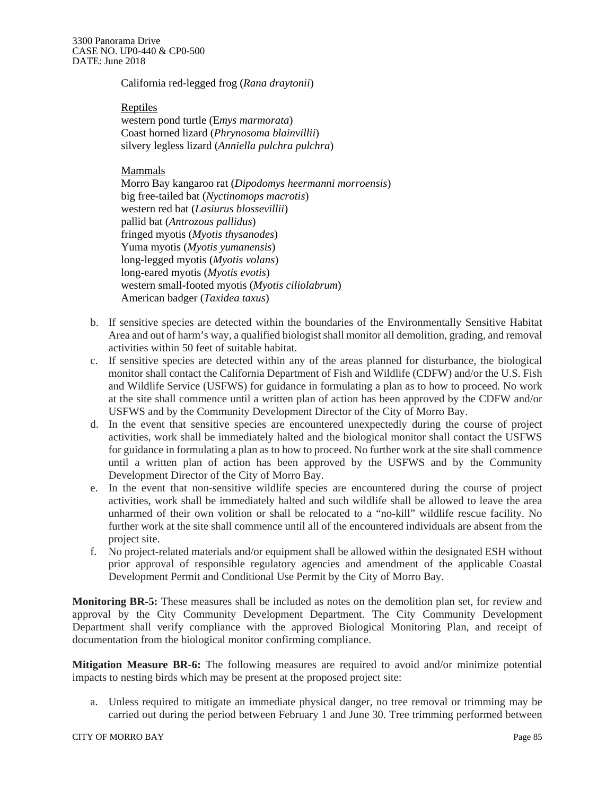California red-legged frog (*Rana draytonii*)

Reptiles western pond turtle (E*mys marmorata*) Coast horned lizard (*Phrynosoma blainvillii*) silvery legless lizard (*Anniella pulchra pulchra*)

Mammals

Morro Bay kangaroo rat (*Dipodomys heermanni morroensis*) big free-tailed bat (*Nyctinomops macrotis*) western red bat (*Lasiurus blossevillii*) pallid bat (*Antrozous pallidus*) fringed myotis (*Myotis thysanodes*) Yuma myotis (*Myotis yumanensis*) long-legged myotis (*Myotis volans*) long-eared myotis (*Myotis evotis*) western small-footed myotis (*Myotis ciliolabrum*) American badger (*Taxidea taxus*)

- b. If sensitive species are detected within the boundaries of the Environmentally Sensitive Habitat Area and out of harm's way, a qualified biologist shall monitor all demolition, grading, and removal activities within 50 feet of suitable habitat.
- c. If sensitive species are detected within any of the areas planned for disturbance, the biological monitor shall contact the California Department of Fish and Wildlife (CDFW) and/or the U.S. Fish and Wildlife Service (USFWS) for guidance in formulating a plan as to how to proceed. No work at the site shall commence until a written plan of action has been approved by the CDFW and/or USFWS and by the Community Development Director of the City of Morro Bay.
- d. In the event that sensitive species are encountered unexpectedly during the course of project activities, work shall be immediately halted and the biological monitor shall contact the USFWS for guidance in formulating a plan as to how to proceed. No further work at the site shall commence until a written plan of action has been approved by the USFWS and by the Community Development Director of the City of Morro Bay.
- e. In the event that non-sensitive wildlife species are encountered during the course of project activities, work shall be immediately halted and such wildlife shall be allowed to leave the area unharmed of their own volition or shall be relocated to a "no-kill" wildlife rescue facility. No further work at the site shall commence until all of the encountered individuals are absent from the project site.
- f. No project-related materials and/or equipment shall be allowed within the designated ESH without prior approval of responsible regulatory agencies and amendment of the applicable Coastal Development Permit and Conditional Use Permit by the City of Morro Bay.

**Monitoring BR-5:** These measures shall be included as notes on the demolition plan set, for review and approval by the City Community Development Department. The City Community Development Department shall verify compliance with the approved Biological Monitoring Plan, and receipt of documentation from the biological monitor confirming compliance.

**Mitigation Measure BR-6:** The following measures are required to avoid and/or minimize potential impacts to nesting birds which may be present at the proposed project site:

a. Unless required to mitigate an immediate physical danger, no tree removal or trimming may be carried out during the period between February 1 and June 30. Tree trimming performed between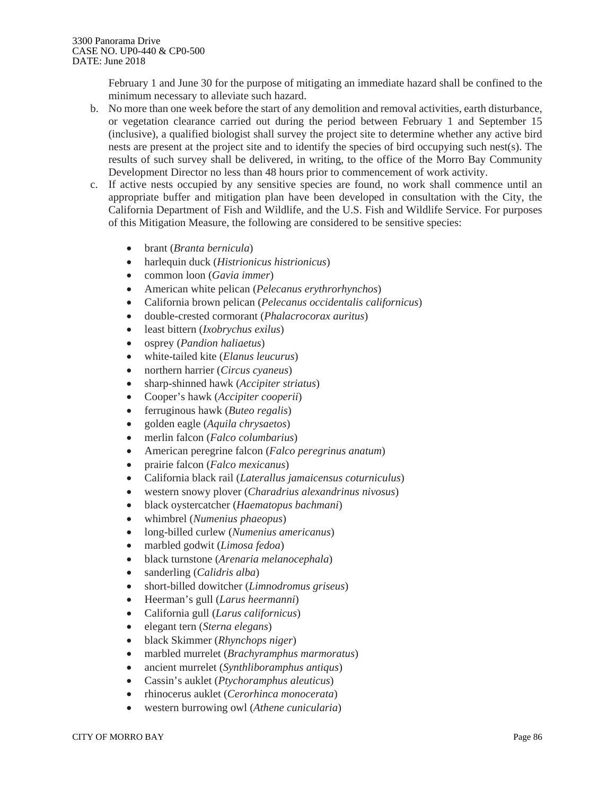February 1 and June 30 for the purpose of mitigating an immediate hazard shall be confined to the minimum necessary to alleviate such hazard.

- b. No more than one week before the start of any demolition and removal activities, earth disturbance, or vegetation clearance carried out during the period between February 1 and September 15 (inclusive), a qualified biologist shall survey the project site to determine whether any active bird nests are present at the project site and to identify the species of bird occupying such nest(s). The results of such survey shall be delivered, in writing, to the office of the Morro Bay Community Development Director no less than 48 hours prior to commencement of work activity.
- c. If active nests occupied by any sensitive species are found, no work shall commence until an appropriate buffer and mitigation plan have been developed in consultation with the City, the California Department of Fish and Wildlife, and the U.S. Fish and Wildlife Service. For purposes of this Mitigation Measure, the following are considered to be sensitive species:
	- brant (*Branta bernicula*)
	- harlequin duck (*Histrionicus histrionicus*)
	- common loon (*Gavia immer*)
	- American white pelican (*Pelecanus erythrorhynchos*)
	- California brown pelican (*Pelecanus occidentalis californicus*)
	- double-crested cormorant (*Phalacrocorax auritus*)
	- least bittern (*Ixobrychus exilus*)
	- osprey (*Pandion haliaetus*)
	- white-tailed kite (*Elanus leucurus*)
	- northern harrier (*Circus cyaneus*)
	- sharp-shinned hawk (*Accipiter striatus*)
	- Cooper's hawk (*Accipiter cooperii*)
	- ferruginous hawk (*Buteo regalis*)
	- golden eagle (*Aquila chrysaetos*)
	- merlin falcon (*Falco columbarius*)
	- American peregrine falcon (*Falco peregrinus anatum*)
	- prairie falcon (*Falco mexicanus*)
	- California black rail (*Laterallus jamaicensus coturniculus*)
	- western snowy plover (*Charadrius alexandrinus nivosus*)
	- black oystercatcher (*Haematopus bachmani*)
	- whimbrel (*Numenius phaeopus*)
	- long-billed curlew (*Numenius americanus*)
	- marbled godwit (*Limosa fedoa*)
	- black turnstone (*Arenaria melanocephala*)
	- sanderling (*Calidris alba*)
	- short-billed dowitcher (*Limnodromus griseus*)
	- Heerman's gull (*Larus heermanni*)
	- California gull (*Larus californicus*)
	- elegant tern (*Sterna elegans*)
	- black Skimmer (*Rhynchops niger*)
	- marbled murrelet (*Brachyramphus marmoratus*)
	- ancient murrelet (*Synthliboramphus antiqus*)
	- Cassin's auklet (*Ptychoramphus aleuticus*)
	- rhinocerus auklet (*Cerorhinca monocerata*)
	- western burrowing owl (*Athene cunicularia*)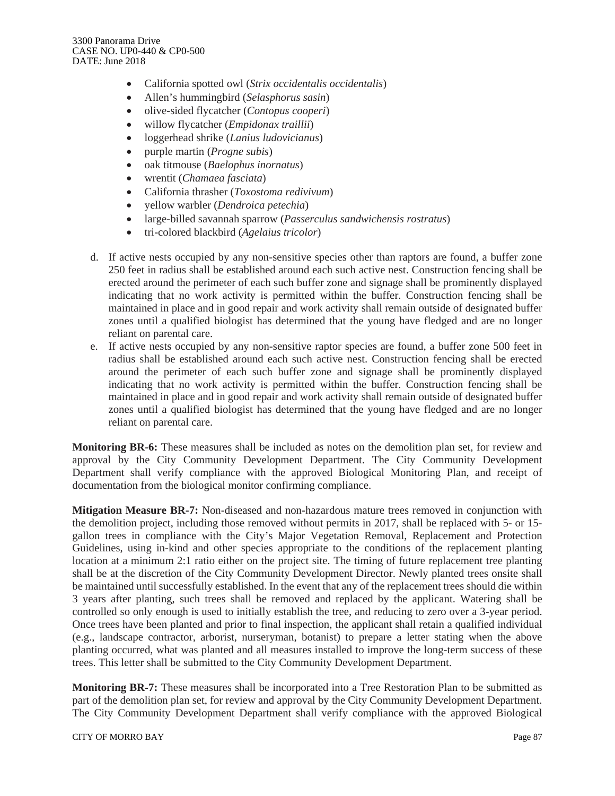- California spotted owl (*Strix occidentalis occidentalis*)
- Allen's hummingbird (*Selasphorus sasin*)
- olive-sided flycatcher (*Contopus cooperi*)
- willow flycatcher (*Empidonax traillii*)
- loggerhead shrike (*Lanius ludovicianus*)
- purple martin (*Progne subis*)
- oak titmouse (*Baelophus inornatus*)
- wrentit (*Chamaea fasciata*)
- California thrasher (*Toxostoma redivivum*)
- yellow warbler (*Dendroica petechia*)
- large-billed savannah sparrow (*Passerculus sandwichensis rostratus*)
- tri-colored blackbird (*Agelaius tricolor*)
- d. If active nests occupied by any non-sensitive species other than raptors are found, a buffer zone 250 feet in radius shall be established around each such active nest. Construction fencing shall be erected around the perimeter of each such buffer zone and signage shall be prominently displayed indicating that no work activity is permitted within the buffer. Construction fencing shall be maintained in place and in good repair and work activity shall remain outside of designated buffer zones until a qualified biologist has determined that the young have fledged and are no longer reliant on parental care.
- e. If active nests occupied by any non-sensitive raptor species are found, a buffer zone 500 feet in radius shall be established around each such active nest. Construction fencing shall be erected around the perimeter of each such buffer zone and signage shall be prominently displayed indicating that no work activity is permitted within the buffer. Construction fencing shall be maintained in place and in good repair and work activity shall remain outside of designated buffer zones until a qualified biologist has determined that the young have fledged and are no longer reliant on parental care.

**Monitoring BR-6:** These measures shall be included as notes on the demolition plan set, for review and approval by the City Community Development Department. The City Community Development Department shall verify compliance with the approved Biological Monitoring Plan, and receipt of documentation from the biological monitor confirming compliance.

**Mitigation Measure BR-7:** Non-diseased and non-hazardous mature trees removed in conjunction with the demolition project, including those removed without permits in 2017, shall be replaced with 5- or 15 gallon trees in compliance with the City's Major Vegetation Removal, Replacement and Protection Guidelines, using in-kind and other species appropriate to the conditions of the replacement planting location at a minimum 2:1 ratio either on the project site. The timing of future replacement tree planting shall be at the discretion of the City Community Development Director. Newly planted trees onsite shall be maintained until successfully established. In the event that any of the replacement trees should die within 3 years after planting, such trees shall be removed and replaced by the applicant. Watering shall be controlled so only enough is used to initially establish the tree, and reducing to zero over a 3-year period. Once trees have been planted and prior to final inspection, the applicant shall retain a qualified individual (e.g., landscape contractor, arborist, nurseryman, botanist) to prepare a letter stating when the above planting occurred, what was planted and all measures installed to improve the long-term success of these trees. This letter shall be submitted to the City Community Development Department.

**Monitoring BR-7:** These measures shall be incorporated into a Tree Restoration Plan to be submitted as part of the demolition plan set, for review and approval by the City Community Development Department. The City Community Development Department shall verify compliance with the approved Biological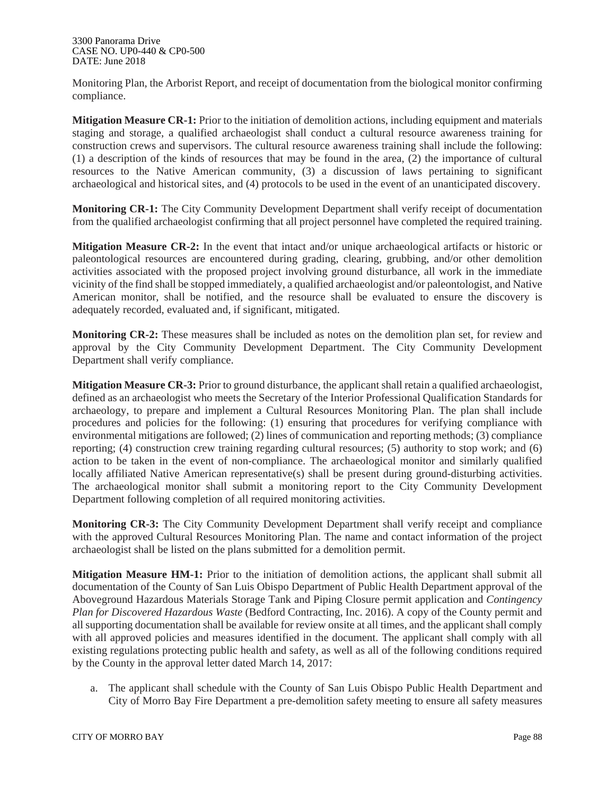Monitoring Plan, the Arborist Report, and receipt of documentation from the biological monitor confirming compliance.

**Mitigation Measure CR-1:** Prior to the initiation of demolition actions, including equipment and materials staging and storage, a qualified archaeologist shall conduct a cultural resource awareness training for construction crews and supervisors. The cultural resource awareness training shall include the following: (1) a description of the kinds of resources that may be found in the area, (2) the importance of cultural resources to the Native American community, (3) a discussion of laws pertaining to significant archaeological and historical sites, and (4) protocols to be used in the event of an unanticipated discovery.

**Monitoring CR-1:** The City Community Development Department shall verify receipt of documentation from the qualified archaeologist confirming that all project personnel have completed the required training.

**Mitigation Measure CR-2:** In the event that intact and/or unique archaeological artifacts or historic or paleontological resources are encountered during grading, clearing, grubbing, and/or other demolition activities associated with the proposed project involving ground disturbance, all work in the immediate vicinity of the find shall be stopped immediately, a qualified archaeologist and/or paleontologist, and Native American monitor, shall be notified, and the resource shall be evaluated to ensure the discovery is adequately recorded, evaluated and, if significant, mitigated.

**Monitoring CR-2:** These measures shall be included as notes on the demolition plan set, for review and approval by the City Community Development Department. The City Community Development Department shall verify compliance.

**Mitigation Measure CR-3:** Prior to ground disturbance, the applicant shall retain a qualified archaeologist, defined as an archaeologist who meets the Secretary of the Interior Professional Qualification Standards for archaeology, to prepare and implement a Cultural Resources Monitoring Plan. The plan shall include procedures and policies for the following: (1) ensuring that procedures for verifying compliance with environmental mitigations are followed; (2) lines of communication and reporting methods; (3) compliance reporting; (4) construction crew training regarding cultural resources; (5) authority to stop work; and (6) action to be taken in the event of non-compliance. The archaeological monitor and similarly qualified locally affiliated Native American representative(s) shall be present during ground-disturbing activities. The archaeological monitor shall submit a monitoring report to the City Community Development Department following completion of all required monitoring activities.

**Monitoring CR-3:** The City Community Development Department shall verify receipt and compliance with the approved Cultural Resources Monitoring Plan. The name and contact information of the project archaeologist shall be listed on the plans submitted for a demolition permit.

**Mitigation Measure HM-1:** Prior to the initiation of demolition actions, the applicant shall submit all documentation of the County of San Luis Obispo Department of Public Health Department approval of the Aboveground Hazardous Materials Storage Tank and Piping Closure permit application and *Contingency Plan for Discovered Hazardous Waste* (Bedford Contracting, Inc. 2016). A copy of the County permit and all supporting documentation shall be available for review onsite at all times, and the applicant shall comply with all approved policies and measures identified in the document. The applicant shall comply with all existing regulations protecting public health and safety, as well as all of the following conditions required by the County in the approval letter dated March 14, 2017:

a. The applicant shall schedule with the County of San Luis Obispo Public Health Department and City of Morro Bay Fire Department a pre-demolition safety meeting to ensure all safety measures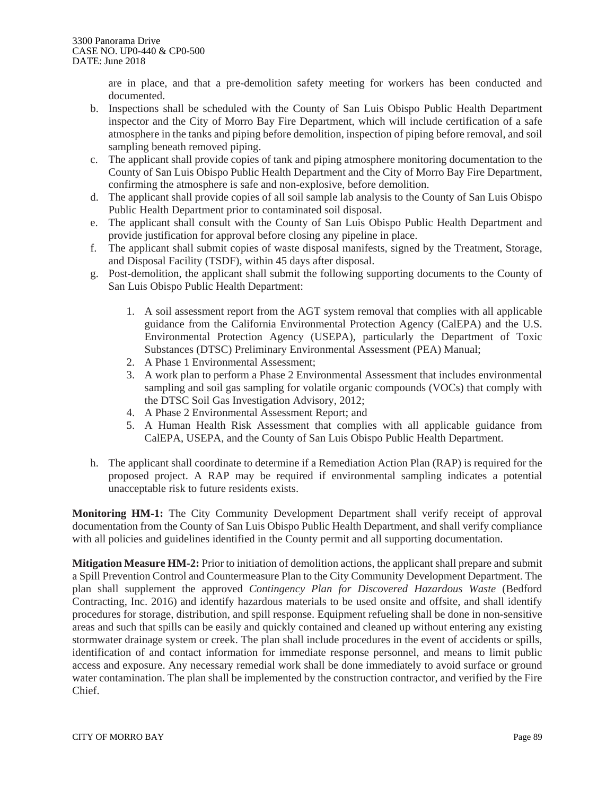are in place, and that a pre-demolition safety meeting for workers has been conducted and documented.

- b. Inspections shall be scheduled with the County of San Luis Obispo Public Health Department inspector and the City of Morro Bay Fire Department, which will include certification of a safe atmosphere in the tanks and piping before demolition, inspection of piping before removal, and soil sampling beneath removed piping.
- c. The applicant shall provide copies of tank and piping atmosphere monitoring documentation to the County of San Luis Obispo Public Health Department and the City of Morro Bay Fire Department, confirming the atmosphere is safe and non-explosive, before demolition.
- d. The applicant shall provide copies of all soil sample lab analysis to the County of San Luis Obispo Public Health Department prior to contaminated soil disposal.
- e. The applicant shall consult with the County of San Luis Obispo Public Health Department and provide justification for approval before closing any pipeline in place.
- f. The applicant shall submit copies of waste disposal manifests, signed by the Treatment, Storage, and Disposal Facility (TSDF), within 45 days after disposal.
- g. Post-demolition, the applicant shall submit the following supporting documents to the County of San Luis Obispo Public Health Department:
	- 1. A soil assessment report from the AGT system removal that complies with all applicable guidance from the California Environmental Protection Agency (CalEPA) and the U.S. Environmental Protection Agency (USEPA), particularly the Department of Toxic Substances (DTSC) Preliminary Environmental Assessment (PEA) Manual;
	- 2. A Phase 1 Environmental Assessment;
	- 3. A work plan to perform a Phase 2 Environmental Assessment that includes environmental sampling and soil gas sampling for volatile organic compounds (VOCs) that comply with the DTSC Soil Gas Investigation Advisory, 2012;
	- 4. A Phase 2 Environmental Assessment Report; and
	- 5. A Human Health Risk Assessment that complies with all applicable guidance from CalEPA, USEPA, and the County of San Luis Obispo Public Health Department.
- h. The applicant shall coordinate to determine if a Remediation Action Plan (RAP) is required for the proposed project. A RAP may be required if environmental sampling indicates a potential unacceptable risk to future residents exists.

**Monitoring HM-1:** The City Community Development Department shall verify receipt of approval documentation from the County of San Luis Obispo Public Health Department, and shall verify compliance with all policies and guidelines identified in the County permit and all supporting documentation.

**Mitigation Measure HM-2:** Prior to initiation of demolition actions, the applicant shall prepare and submit a Spill Prevention Control and Countermeasure Plan to the City Community Development Department. The plan shall supplement the approved *Contingency Plan for Discovered Hazardous Waste* (Bedford Contracting, Inc. 2016) and identify hazardous materials to be used onsite and offsite, and shall identify procedures for storage, distribution, and spill response. Equipment refueling shall be done in non-sensitive areas and such that spills can be easily and quickly contained and cleaned up without entering any existing stormwater drainage system or creek. The plan shall include procedures in the event of accidents or spills, identification of and contact information for immediate response personnel, and means to limit public access and exposure. Any necessary remedial work shall be done immediately to avoid surface or ground water contamination. The plan shall be implemented by the construction contractor, and verified by the Fire Chief.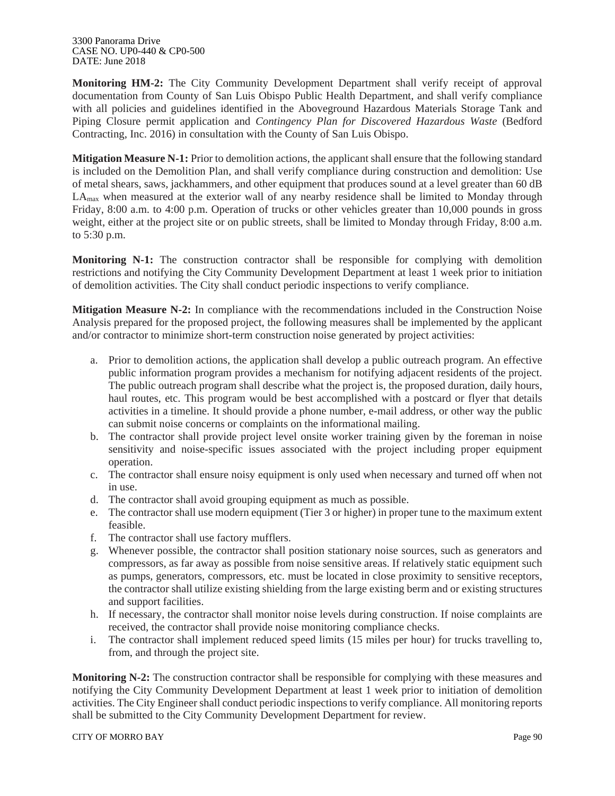3300 Panorama Drive CASE NO. UP0-440 & CP0-500 DATE: June 2018

**Monitoring HM-2:** The City Community Development Department shall verify receipt of approval documentation from County of San Luis Obispo Public Health Department, and shall verify compliance with all policies and guidelines identified in the Aboveground Hazardous Materials Storage Tank and Piping Closure permit application and *Contingency Plan for Discovered Hazardous Waste* (Bedford Contracting, Inc. 2016) in consultation with the County of San Luis Obispo.

**Mitigation Measure N-1:** Prior to demolition actions, the applicant shall ensure that the following standard is included on the Demolition Plan, and shall verify compliance during construction and demolition: Use of metal shears, saws, jackhammers, and other equipment that produces sound at a level greater than 60 dB  $LA<sub>max</sub>$  when measured at the exterior wall of any nearby residence shall be limited to Monday through Friday, 8:00 a.m. to 4:00 p.m. Operation of trucks or other vehicles greater than 10,000 pounds in gross weight, either at the project site or on public streets, shall be limited to Monday through Friday, 8:00 a.m. to 5:30 p.m.

**Monitoring N-1:** The construction contractor shall be responsible for complying with demolition restrictions and notifying the City Community Development Department at least 1 week prior to initiation of demolition activities. The City shall conduct periodic inspections to verify compliance.

**Mitigation Measure N-2:** In compliance with the recommendations included in the Construction Noise Analysis prepared for the proposed project, the following measures shall be implemented by the applicant and/or contractor to minimize short-term construction noise generated by project activities:

- a. Prior to demolition actions, the application shall develop a public outreach program. An effective public information program provides a mechanism for notifying adjacent residents of the project. The public outreach program shall describe what the project is, the proposed duration, daily hours, haul routes, etc. This program would be best accomplished with a postcard or flyer that details activities in a timeline. It should provide a phone number, e-mail address, or other way the public can submit noise concerns or complaints on the informational mailing.
- b. The contractor shall provide project level onsite worker training given by the foreman in noise sensitivity and noise-specific issues associated with the project including proper equipment operation.
- c. The contractor shall ensure noisy equipment is only used when necessary and turned off when not in use.
- d. The contractor shall avoid grouping equipment as much as possible.
- e. The contractor shall use modern equipment (Tier 3 or higher) in proper tune to the maximum extent feasible.
- f. The contractor shall use factory mufflers.
- g. Whenever possible, the contractor shall position stationary noise sources, such as generators and compressors, as far away as possible from noise sensitive areas. If relatively static equipment such as pumps, generators, compressors, etc. must be located in close proximity to sensitive receptors, the contractor shall utilize existing shielding from the large existing berm and or existing structures and support facilities.
- h. If necessary, the contractor shall monitor noise levels during construction. If noise complaints are received, the contractor shall provide noise monitoring compliance checks.
- i. The contractor shall implement reduced speed limits (15 miles per hour) for trucks travelling to, from, and through the project site.

**Monitoring N-2:** The construction contractor shall be responsible for complying with these measures and notifying the City Community Development Department at least 1 week prior to initiation of demolition activities. The City Engineer shall conduct periodic inspections to verify compliance. All monitoring reports shall be submitted to the City Community Development Department for review.

#### CITY OF MORRO BAY Page 90